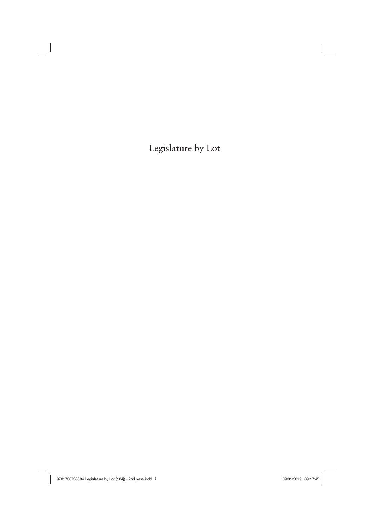Legislature by Lot

9781788736084 Legislature by Lot (184j) - 2nd pass.indd i deed and the context of the context of 09/01/2019 09:17:45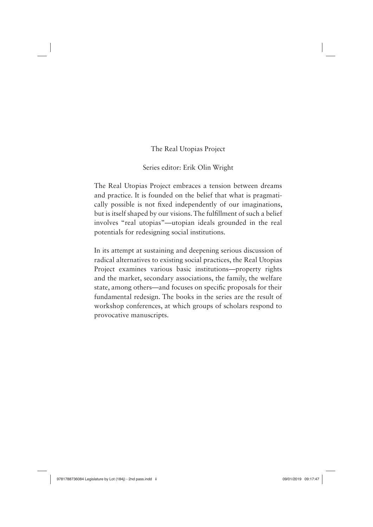The Real Utopias Project

# Series editor: Erik Olin Wright

The Real Utopias Project embraces a tension between dreams and practice. It is founded on the belief that what is pragmatically possible is not fixed independently of our imaginations, but is itself shaped by our visions. The fulfillment of such a belief involves "real utopias"—utopian ideals grounded in the real potentials for redesigning social institutions.

In its attempt at sustaining and deepening serious discussion of radical alternatives to existing social practices, the Real Utopias Project examines various basic institutions—property rights and the market, secondary associations, the family, the welfare state, among others—and focuses on specific proposals for their fundamental redesign. The books in the series are the result of workshop conferences, at which groups of scholars respond to provocative manuscripts.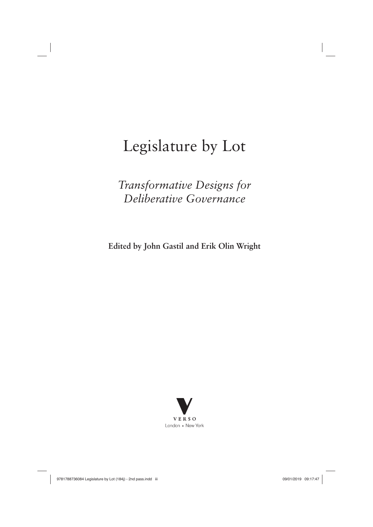# Legislature by Lot

*Transformative Designs for Deliberative Governance*

**Edited by John Gastil and Erik Olin Wright**



ersett of the Wreckage (184) - final pass.indd iii 150 minutes (8781788736084 Legislature by Lot (184j) - 2nd pass.indd iii 150 minutes (89/01/2019 09:17:47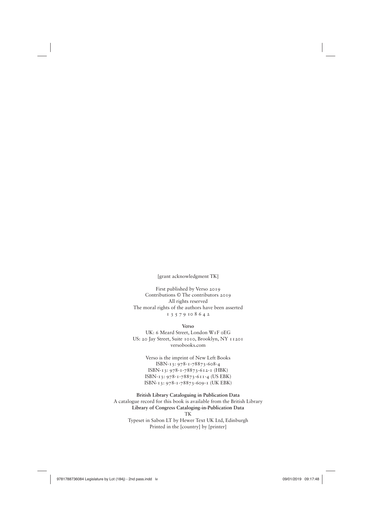[grant acknowledgment TK]

First published by Verso 2019 Contributions © The contributors 2019 All rights reserved The moral rights of the authors have been asserted 1 3 5 7 9 10 8 6 4 2

**Verso**

UK: 6 Meard Street, London W1F 0EG US: 20 Jay Street, Suite 1010, Brooklyn, NY 11201 versobooks.com

> Verso is the imprint of New Left Books ISBN-13: 978-1-78873-608-4 ISBN-13: 978-1-78873-612-1 (HBK) ISBN-13: 978-1-78873-611-4 (US EBK) ISBN-13: 978-1-78873-609-1 (UK EBK)

**British Library Cataloguing in Publication Data** A catalogue record for this book is available from the British Library **Library of Congress Cataloging-in-Publication Data** TK Typeset in Sabon LT by Hewer Text UK Ltd, Edinburgh Printed in the [country] by [printer]

9781788736084 Legislature by Lot (184j) - 2nd pass.indd iv 09/01/2019 09:17:48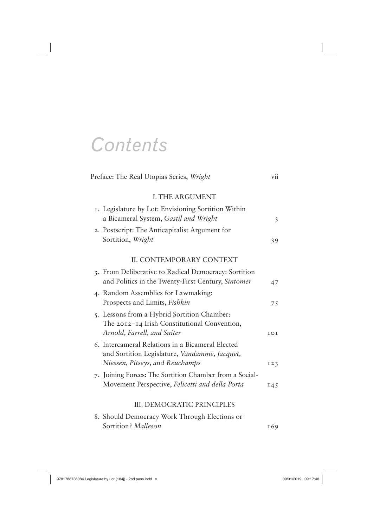# *Contents*

| Preface: The Real Utopias Series, Wright                                                                                             | vii |
|--------------------------------------------------------------------------------------------------------------------------------------|-----|
| <b>I. THE ARGUMENT</b>                                                                                                               |     |
| I. Legislature by Lot: Envisioning Sortition Within<br>a Bicameral System, Gastil and Wright                                         | 3   |
| 2. Postscript: The Anticapitalist Argument for<br>Sortition, Wright                                                                  | 39  |
| <b>II. CONTEMPORARY CONTEXT</b>                                                                                                      |     |
| 3. From Deliberative to Radical Democracy: Sortition<br>and Politics in the Twenty-First Century, Sintomer                           | 47  |
| 4. Random Assemblies for Lawmaking:<br>Prospects and Limits, Fishkin                                                                 | 75  |
| 5. Lessons from a Hybrid Sortition Chamber:<br>The 2012-14 Irish Constitutional Convention,<br>Arnold, Farrell, and Suiter           | IOI |
| 6. Intercameral Relations in a Bicameral Elected<br>and Sortition Legislature, Vandamme, Jacquet,<br>Niessen, Pitseys, and Reuchamps | I23 |
| 7. Joining Forces: The Sortition Chamber from a Social-<br>Movement Perspective, Felicetti and della Porta                           | 145 |
| <b>III. DEMOCRATIC PRINCIPLES</b>                                                                                                    |     |
| 8. Should Democracy Work Through Elections or<br>Sortition? Malleson                                                                 | 169 |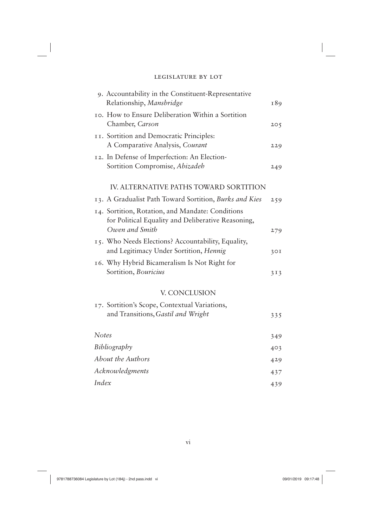# legislature by lot

| 9. Accountability in the Constituent-Representative<br>Relationship, Mansbridge                                          | 189             |
|--------------------------------------------------------------------------------------------------------------------------|-----------------|
| 10. How to Ensure Deliberation Within a Sortition<br>Chamber, Carson                                                     | 205             |
| II. Sortition and Democratic Principles:<br>A Comparative Analysis, Courant                                              | 229             |
| 12. In Defense of Imperfection: An Election-<br>Sortition Compromise, Abizadeh                                           | 249             |
| IV. ALTERNATIVE PATHS TOWARD SORTITION                                                                                   |                 |
| 13. A Gradualist Path Toward Sortition, Burks and Kies                                                                   | 259             |
| 14. Sortition, Rotation, and Mandate: Conditions<br>for Political Equality and Deliberative Reasoning,<br>Owen and Smith | 279             |
| 15. Who Needs Elections? Accountability, Equality,<br>and Legitimacy Under Sortition, Hennig                             | 30I             |
| 16. Why Hybrid Bicameralism Is Not Right for<br>Sortition, Bouricius                                                     | 3 <sub>13</sub> |
| <b>V. CONCLUSION</b>                                                                                                     |                 |
| 17. Sortition's Scope, Contextual Variations,<br>and Transitions, Gastil and Wright                                      | 335             |
| <b>Notes</b>                                                                                                             | 349             |
| Bibliography                                                                                                             | 403             |
| <b>About the Authors</b>                                                                                                 | 429             |
| Acknowledgments                                                                                                          | 437             |
| Index                                                                                                                    | 439             |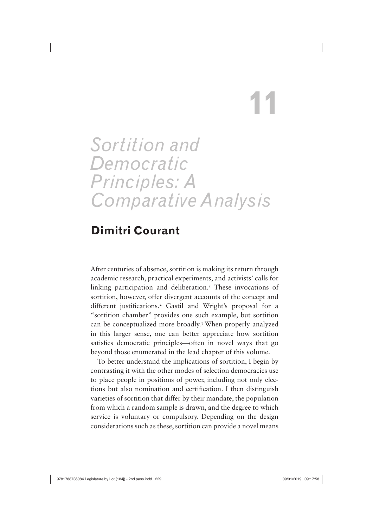# **11**

# *Sortition and Democratic Principles: A Comparative Analysis*

# **Dimitri Courant**

After centuries of absence, sortition is making its return through academic research, practical experiments, and activists' calls for linking participation and deliberation.<sup>1</sup> These invocations of sortition, however, offer divergent accounts of the concept and different justifications.<sup>2</sup> Gastil and Wright's proposal for a "sortition chamber" provides one such example, but sortition can be conceptualized more broadly.3 When properly analyzed in this larger sense, one can better appreciate how sortition satisfies democratic principles—often in novel ways that go beyond those enumerated in the lead chapter of this volume.

To better understand the implications of sortition, I begin by contrasting it with the other modes of selection democracies use to place people in positions of power, including not only elections but also nomination and certification. I then distinguish varieties of sortition that differ by their mandate, the population from which a random sample is drawn, and the degree to which service is voluntary or compulsory. Depending on the design considerations such as these, sortition can provide a novel means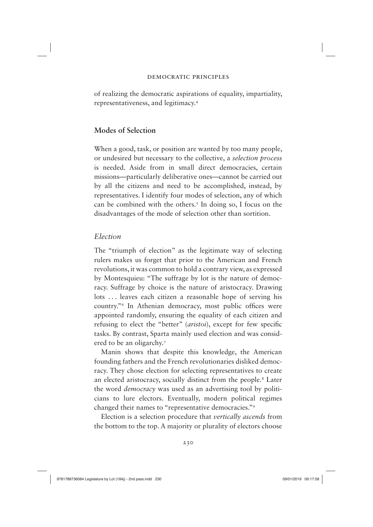#### democratic principles

of realizing the democratic aspirations of equality, impartiality, representativeness, and legitimacy.4

# **Modes of Selection**

When a good, task, or position are wanted by too many people. or undesired but necessary to the collective, a *selection process* is needed. Aside from in small direct democracies, certain missions—particularly deliberative ones—cannot be carried out by all the citizens and need to be accomplished, instead, by representatives. I identify four modes of selection, any of which can be combined with the others.<sup>5</sup> In doing so, I focus on the disadvantages of the mode of selection other than sortition.

# *Election*

The "triumph of election" as the legitimate way of selecting rulers makes us forget that prior to the American and French revolutions, it was common to hold a contrary view, as expressed by Montesquieu: "The suffrage by lot is the nature of democracy. Suffrage by choice is the nature of aristocracy. Drawing lots ... leaves each citizen a reasonable hope of serving his country."<sup>6</sup> In Athenian democracy, most public offices were appointed randomly, ensuring the equality of each citizen and refusing to elect the "better" *(aristoi)*, except for few specific tasks. By contrast, Sparta mainly used election and was considered to be an oligarchy.7

Manin shows that despite this knowledge, the American founding fathers and the French revolutionaries disliked democracy. They chose election for selecting representatives to create an elected aristocracy, socially distinct from the people.<sup>8</sup> Later the word *democracy* was used as an advertising tool by politicians to lure electors. Eventually, modern political regimes changed their names to "representative democracies."9

Election is a selection procedure that *vertically ascends* from the bottom to the top. A majority or plurality of electors choose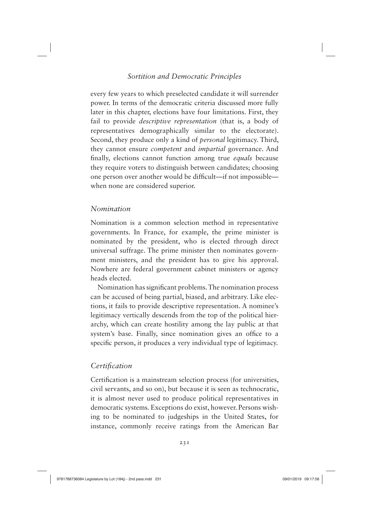# *Sortition and Democratic Principles*

every few years to which preselected candidate it will surrender power. In terms of the democratic criteria discussed more fully later in this chapter, elections have four limitations. First, they fail to provide *descriptive representation* (that is, a body of representatives demographically similar to the electorate). Second, they produce only a kind of *personal* legitimacy. Third, they cannot ensure *competent* and *impartial* governance. And finally, elections cannot function among true *equals* because they require voters to distinguish between candidates; choosing one person over another would be difficult—if not impossible when none are considered superior.

# *Nomination*

Nomination is a common selection method in representative governments. In France, for example, the prime minister is nominated by the president, who is elected through direct universal suffrage. The prime minister then nominates government ministers, and the president has to give his approval. Nowhere are federal government cabinet ministers or agency heads elected.

Nomination has significant problems. The nomination process can be accused of being partial, biased, and arbitrary. Like elections, it fails to provide descriptive representation. A nominee's legitimacy vertically descends from the top of the political hierarchy, which can create hostility among the lay public at that system's base. Finally, since nomination gives an office to a specific person, it produces a very individual type of legitimacy.

# *Certifi cation*

Certification is a mainstream selection process (for universities, civil servants, and so on), but because it is seen as technocratic, it is almost never used to produce political representatives in democratic systems. Exceptions do exist, however. Persons wishing to be nominated to judgeships in the United States, for instance, commonly receive ratings from the American Bar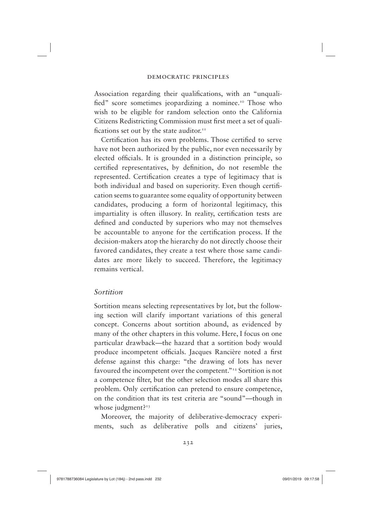#### democratic principles

Association regarding their qualifications, with an "unqualified" score sometimes jeopardizing a nominee.<sup>10</sup> Those who wish to be eligible for random selection onto the California Citizens Redistricting Commission must first meet a set of qualifications set out by the state auditor.<sup>11</sup>

Certification has its own problems. Those certified to serve have not been authorized by the public, nor even necessarily by elected officials. It is grounded in a distinction principle, so certified representatives, by definition, do not resemble the represented. Certification creates a type of legitimacy that is both individual and based on superiority. Even though certification seems to guarantee some equality of opportunity between candidates, producing a form of horizontal legitimacy, this impartiality is often illusory. In reality, certification tests are defined and conducted by superiors who may not themselves be accountable to anyone for the certification process. If the decision-makers atop the hierarchy do not directly choose their favored candidates, they create a test where those same candidates are more likely to succeed. Therefore, the legitimacy remains vertical.

# *Sortition*

Sortition means selecting representatives by lot, but the following section will clarify important variations of this general concept. Concerns about sortition abound, as evidenced by many of the other chapters in this volume. Here, I focus on one particular drawback—the hazard that a sortition body would produce incompetent officials. Jacques Rancière noted a first defense against this charge: "the drawing of lots has never favoured the incompetent over the competent."<sup>12</sup> Sortition is not a competence filter, but the other selection modes all share this problem. Only certification can pretend to ensure competence, on the condition that its test criteria are "sound"—though in whose judgment?<sup>13</sup>

Moreover, the majority of deliberative-democracy experiments, such as deliberative polls and citizens' juries,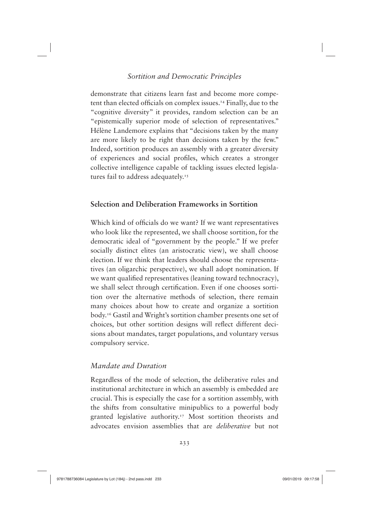# *Sortition and Democratic Principles*

demonstrate that citizens learn fast and become more competent than elected officials on complex issues.<sup>14</sup> Finally, due to the "cognitive diversity" it provides, random selection can be an "epistemically superior mode of selection of representatives." Hélène Landemore explains that "decisions taken by the many are more likely to be right than decisions taken by the few." Indeed, sortition produces an assembly with a greater diversity of experiences and social profiles, which creates a stronger collective intelligence capable of tackling issues elected legislatures fail to address adequately.<sup>15</sup>

# **Selection and Deliberation Frameworks in Sortition**

Which kind of officials do we want? If we want representatives who look like the represented, we shall choose sortition, for the democratic ideal of "government by the people." If we prefer socially distinct elites (an aristocratic view), we shall choose election. If we think that leaders should choose the representatives (an oligarchic perspective), we shall adopt nomination. If we want qualified representatives (leaning toward technocracy), we shall select through certification. Even if one chooses sortition over the alternative methods of selection, there remain many choices about how to create and organize a sortition body.16 Gastil and Wright's sortition chamber presents one set of choices, but other sortition designs will reflect different decisions about mandates, target populations, and voluntary versus compulsory service.

# *Mandate and Duration*

Regardless of the mode of selection, the deliberative rules and institutional architecture in which an assembly is embedded are crucial. This is especially the case for a sortition assembly, with the shifts from consultative minipublics to a powerful body granted legislative authority.17 Most sortition theorists and advocates envision assemblies that are *deliberative* but not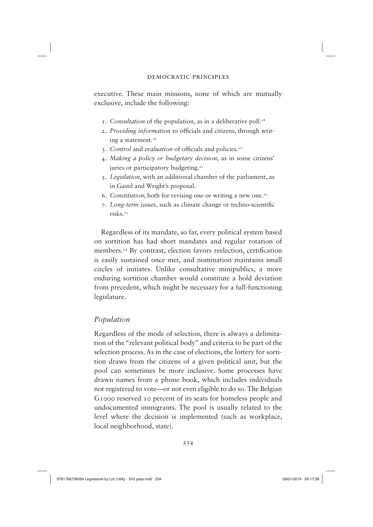#### democratic principles

executive. These main missions, none of which are mutually exclusive, include the following:

- 1. *Consultation* of the population, as in a deliberative poll.<sup>18</sup>
- 2. Providing information to officials and citizens, through writing a statement.<sup>19</sup>
- 3. *Control* and *evaluation* of officials and policies.<sup>20</sup>
- 4. *Making a policy or budgetary decision*, as in some citizens' juries or participatory budgeting.<sup>21</sup>
- 5. *Legislation*, with an additional chamber of the parliament, as in Gastil and Wright's proposal.
- 6. *Constitution*, both for revising one or writing a new one.<sup>22</sup>
- 7. *Long-term issues*, such as climate change or techno-scientific risks.23

Regardless of its mandate, so far, every political system based on sortition has had short mandates and regular rotation of members.<sup>24</sup> By contrast, election favors reelection, certification is easily sustained once met, and nomination maintains small circles of initiates. Unlike consultative minipublics, a more enduring sortition chamber would constitute a bold deviation from precedent, which might be necessary for a full-functioning legislature.

# *Population*

Regardless of the mode of selection, there is always a delimitation of the "relevant political body" and criteria to be part of the selection process. As in the case of elections, the lottery for sortition draws from the citizens of a given political unit, but the pool can sometimes be more inclusive. Some processes have drawn names from a phone book, which includes individuals not registered to vote—or not even eligible to do so. The Belgian G1000 reserved 10 percent of its seats for homeless people and undocumented immigrants. The pool is usually related to the level where the decision is implemented (such as workplace, local neighborhood, state).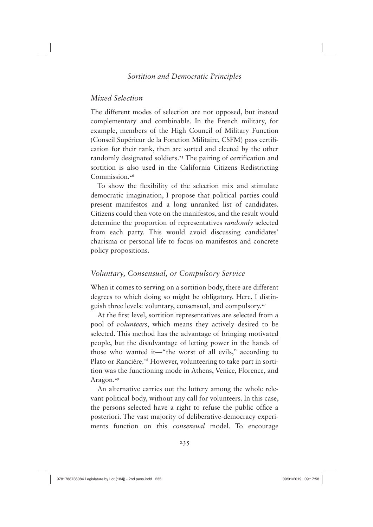# *Sortition and Democratic Principles*

# *Mixed Selection*

The different modes of selection are not opposed, but instead complementary and combinable. In the French military, for example, members of the High Council of Military Function (Conseil Supérieur de la Fonction Militaire, CSFM) pass certifi cation for their rank, then are sorted and elected by the other randomly designated soldiers.<sup>25</sup> The pairing of certification and sortition is also used in the California Citizens Redistricting Commission.<sup>26</sup>

To show the flexibility of the selection mix and stimulate democratic imagination, I propose that political parties could present manifestos and a long unranked list of candidates. Citizens could then vote on the manifestos, and the result would determine the proportion of representatives *randomly* selected from each party. This would avoid discussing candidates' charisma or personal life to focus on manifestos and concrete policy propositions.

# *Voluntary, Consensual, or Compulsory Service*

When it comes to serving on a sortition body, there are different degrees to which doing so might be obligatory. Here, I distinguish three levels: voluntary, consensual, and compulsory.<sup>27</sup>

At the first level, sortition representatives are selected from a pool of *volunteers*, which means they actively desired to be selected. This method has the advantage of bringing motivated people, but the disadvantage of letting power in the hands of those who wanted it—"the worst of all evils," according to Plato or Rancière.<sup>28</sup> However, volunteering to take part in sortition was the functioning mode in Athens, Venice, Florence, and Aragon.<sup>29</sup>

An alternative carries out the lottery among the whole relevant political body, without any call for volunteers. In this case, the persons selected have a right to refuse the public office a posteriori. The vast majority of deliberative-democracy experiments function on this *consensual* model. To encourage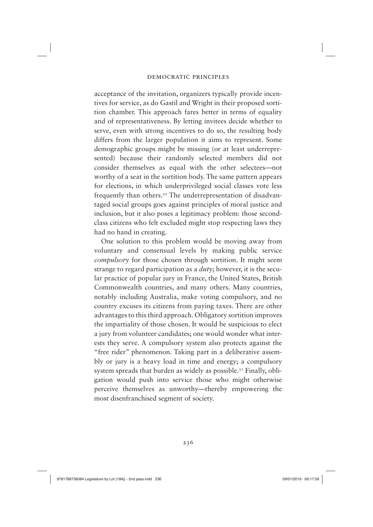#### democratic principles

acceptance of the invitation, organizers typically provide incentives for service, as do Gastil and Wright in their proposed sortition chamber. This approach fares better in terms of equality and of representativeness. By letting invitees decide whether to serve, even with strong incentives to do so, the resulting body differs from the larger population it aims to represent. Some demographic groups might be missing (or at least underrepresented) because their randomly selected members did not consider themselves as equal with the other selectees—not worthy of a seat in the sortition body. The same pattern appears for elections, in which underprivileged social classes vote less frequently than others.<sup>30</sup> The underrepresentation of disadvantaged social groups goes against principles of moral justice and inclusion, but it also poses a legitimacy problem: those secondclass citizens who felt excluded might stop respecting laws they had no hand in creating.

One solution to this problem would be moving away from voluntary and consensual levels by making public service *compulsory* for those chosen through sortition. It might seem strange to regard participation as a *duty*; however, it is the secular practice of popular jury in France, the United States, British Commonwealth countries, and many others. Many countries, notably including Australia, make voting compulsory, and no country excuses its citizens from paying taxes. There are other advantages to this third approach. Obligatory sortition improves the impartiality of those chosen. It would be suspicious to elect a jury from volunteer candidates; one would wonder what interests they serve. A compulsory system also protects against the "free rider" phenomenon. Taking part in a deliberative assembly or jury is a heavy load in time and energy; a compulsory system spreads that burden as widely as possible.<sup>31</sup> Finally, obligation would push into service those who might otherwise perceive themselves as unworthy—thereby empowering the most disenfranchised segment of society.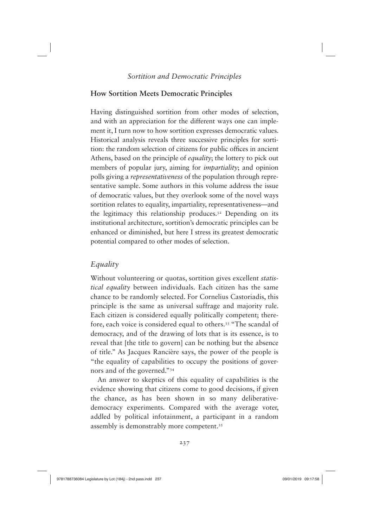# *Sortition and Democratic Principles*

# **How Sortition Meets Democratic Principles**

Having distinguished sortition from other modes of selection, and with an appreciation for the different ways one can implement it, I turn now to how sortition expresses democratic values. Historical analysis reveals three successive principles for sortition: the random selection of citizens for public offices in ancient Athens, based on the principle of *equality*; the lottery to pick out members of popular jury, aiming for *impartiality*; and opinion polls giving a *representativeness* of the population through representative sample. Some authors in this volume address the issue of democratic values, but they overlook some of the novel ways sortition relates to equality, impartiality, representativeness—and the legitimacy this relationship produces.<sup>32</sup> Depending on its institutional architecture, sortition's democratic principles can be enhanced or diminished, but here I stress its greatest democratic potential compared to other modes of selection.

# *Equality*

Without volunteering or quotas, sortition gives excellent *statistical equality* between individuals. Each citizen has the same chance to be randomly selected. For Cornelius Castoriadis, this principle is the same as universal suffrage and majority rule. Each citizen is considered equally politically competent; therefore, each voice is considered equal to others.33 "The scandal of democracy, and of the drawing of lots that is its essence, is to reveal that [the title to govern] can be nothing but the absence of title." As Jacques Rancière says, the power of the people is "the equality of capabilities to occupy the positions of governors and of the governed."34

An answer to skeptics of this equality of capabilities is the evidence showing that citizens come to good decisions, if given the chance, as has been shown in so many deliberativedemocracy experiments. Compared with the average voter, addled by political infotainment, a participant in a random assembly is demonstrably more competent.<sup>35</sup>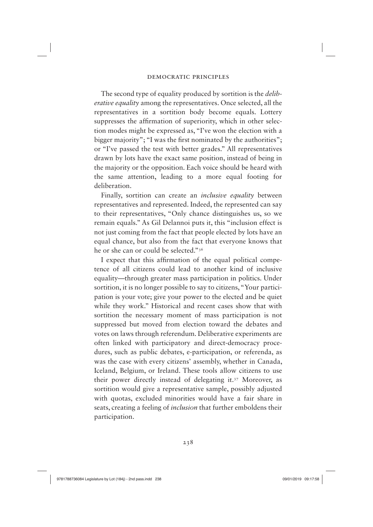#### democratic principles

The second type of equality produced by sortition is the *deliberative equality* among the representatives. Once selected, all the representatives in a sortition body become equals. Lottery suppresses the affirmation of superiority, which in other selection modes might be expressed as, "I've won the election with a bigger majority"; "I was the first nominated by the authorities"; or "I've passed the test with better grades." All representatives drawn by lots have the exact same position, instead of being in the majority or the opposition. Each voice should be heard with the same attention, leading to a more equal footing for deliberation.

Finally, sortition can create an *inclusive equality* between representatives and represented. Indeed, the represented can say to their representatives, "Only chance distinguishes us, so we remain equals." As Gil Delannoi puts it, this "inclusion effect is not just coming from the fact that people elected by lots have an equal chance, but also from the fact that everyone knows that he or she can or could be selected."36

I expect that this affirmation of the equal political competence of all citizens could lead to another kind of inclusive equality—through greater mass participation in politics. Under sortition, it is no longer possible to say to citizens, "Your participation is your vote; give your power to the elected and be quiet while they work." Historical and recent cases show that with sortition the necessary moment of mass participation is not suppressed but moved from election toward the debates and votes on laws through referendum. Deliberative experiments are often linked with participatory and direct-democracy procedures, such as public debates, e-participation, or referenda, as was the case with every citizens' assembly, whether in Canada, Iceland, Belgium, or Ireland. These tools allow citizens to use their power directly instead of delegating it.37 Moreover, as sortition would give a representative sample, possibly adjusted with quotas, excluded minorities would have a fair share in seats, creating a feeling of *inclusion* that further emboldens their participation.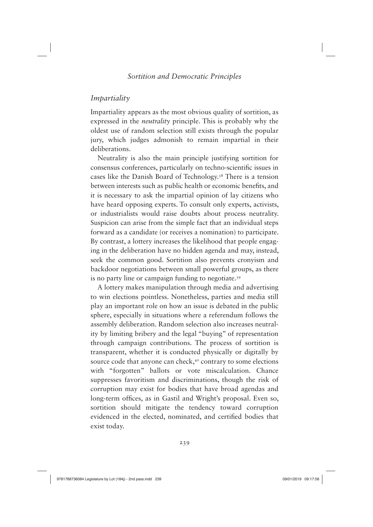# *Sortition and Democratic Principles*

# *Impartiality*

Impartiality appears as the most obvious quality of sortition, as expressed in the *neutrality* principle. This is probably why the oldest use of random selection still exists through the popular jury, which judges admonish to remain impartial in their deliberations.

Neutrality is also the main principle justifying sortition for consensus conferences, particularly on techno-scientific issues in cases like the Danish Board of Technology.38 There is a tension between interests such as public health or economic benefits, and it is necessary to ask the impartial opinion of lay citizens who have heard opposing experts. To consult only experts, activists, or industrialists would raise doubts about process neutrality. Suspicion can arise from the simple fact that an individual steps forward as a candidate (or receives a nomination) to participate. By contrast, a lottery increases the likelihood that people engaging in the deliberation have no hidden agenda and may, instead, seek the common good. Sortition also prevents cronyism and backdoor negotiations between small powerful groups, as there is no party line or campaign funding to negotiate.<sup>39</sup>

A lottery makes manipulation through media and advertising to win elections pointless. Nonetheless, parties and media still play an important role on how an issue is debated in the public sphere, especially in situations where a referendum follows the assembly deliberation. Random selection also increases neutrality by limiting bribery and the legal "buying" of representation through campaign contributions. The process of sortition is transparent, whether it is conducted physically or digitally by source code that anyone can check,<sup>40</sup> contrary to some elections with "forgotten" ballots or vote miscalculation. Chance suppresses favoritism and discriminations, though the risk of corruption may exist for bodies that have broad agendas and long-term offices, as in Gastil and Wright's proposal. Even so, sortition should mitigate the tendency toward corruption evidenced in the elected, nominated, and certified bodies that exist today.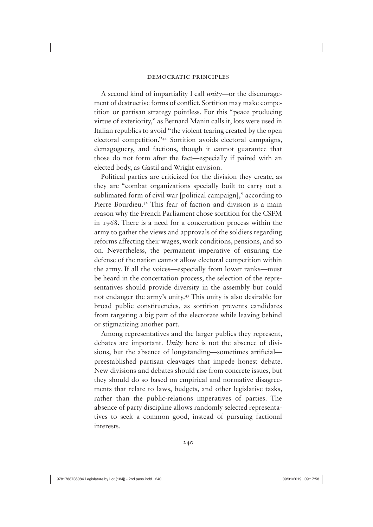#### democratic principles

A second kind of impartiality I call *unity*—or the discouragement of destructive forms of conflict. Sortition may make competition or partisan strategy pointless. For this "peace producing virtue of exteriority," as Bernard Manin calls it, lots were used in Italian republics to avoid "the violent tearing created by the open electoral competition."41 Sortition avoids electoral campaigns, demagoguery, and factions, though it cannot guarantee that those do not form after the fact—especially if paired with an elected body, as Gastil and Wright envision.

Political parties are criticized for the division they create, as they are "combat organizations specially built to carry out a sublimated form of civil war [political campaign]," according to Pierre Bourdieu.<sup>42</sup> This fear of faction and division is a main reason why the French Parliament chose sortition for the CSFM in 1968. There is a need for a concertation process within the army to gather the views and approvals of the soldiers regarding reforms affecting their wages, work conditions, pensions, and so on. Nevertheless, the permanent imperative of ensuring the defense of the nation cannot allow electoral competition within the army. If all the voices—especially from lower ranks—must be heard in the concertation process, the selection of the representatives should provide diversity in the assembly but could not endanger the army's unity.43 This unity is also desirable for broad public constituencies, as sortition prevents candidates from targeting a big part of the electorate while leaving behind or stigmatizing another part.

Among representatives and the larger publics they represent, debates are important. *Unity* here is not the absence of divisions, but the absence of longstanding—sometimes artificial preestablished partisan cleavages that impede honest debate. New divisions and debates should rise from concrete issues, but they should do so based on empirical and normative disagreements that relate to laws, budgets, and other legislative tasks, rather than the public-relations imperatives of parties. The absence of party discipline allows randomly selected representatives to seek a common good, instead of pursuing factional interests.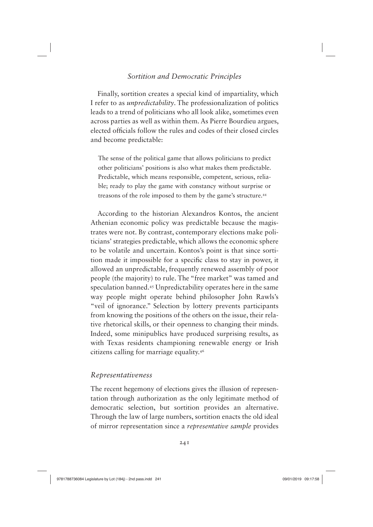# *Sortition and Democratic Principles*

Finally, sortition creates a special kind of impartiality, which I refer to as *unpredictability*. The professionalization of politics leads to a trend of politicians who all look alike, sometimes even across parties as well as within them. As Pierre Bourdieu argues, elected officials follow the rules and codes of their closed circles and become predictable:

The sense of the political game that allows politicians to predict other politicians' positions is also what makes them predictable. Predictable, which means responsible, competent, serious, reliable; ready to play the game with constancy without surprise or treasons of the role imposed to them by the game's structure.44

According to the historian Alexandros Kontos, the ancient Athenian economic policy was predictable because the magistrates were not. By contrast, contemporary elections make politicians' strategies predictable, which allows the economic sphere to be volatile and uncertain. Kontos's point is that since sortition made it impossible for a specific class to stay in power, it allowed an unpredictable, frequently renewed assembly of poor people (the majority) to rule. The "free market" was tamed and speculation banned.45 Unpredictability operates here in the same way people might operate behind philosopher John Rawls's "veil of ignorance." Selection by lottery prevents participants from knowing the positions of the others on the issue, their relative rhetorical skills, or their openness to changing their minds. Indeed, some minipublics have produced surprising results, as with Texas residents championing renewable energy or Irish citizens calling for marriage equality.46

## *Representativeness*

The recent hegemony of elections gives the illusion of representation through authorization as the only legitimate method of democratic selection, but sortition provides an alternative. Through the law of large numbers, sortition enacts the old ideal of mirror representation since a *representative sample* provides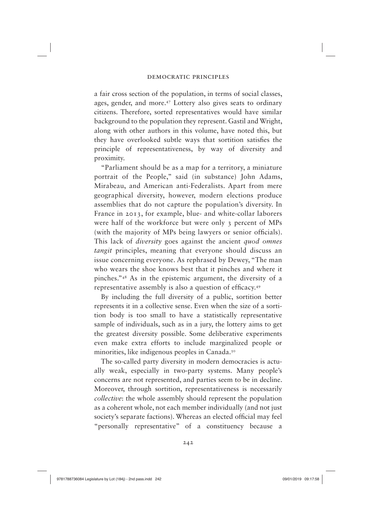#### democratic principles

a fair cross section of the population, in terms of social classes, ages, gender, and more.47 Lottery also gives seats to ordinary citizens. Therefore, sorted representatives would have similar background to the population they represent. Gastil and Wright, along with other authors in this volume, have noted this, but they have overlooked subtle ways that sortition satisfies the principle of representativeness, by way of diversity and proximity.

"Parliament should be as a map for a territory, a miniature portrait of the People," said (in substance) John Adams, Mirabeau, and American anti-Federalists. Apart from mere geographical diversity, however, modern elections produce assemblies that do not capture the population's diversity. In France in 2013, for example, blue- and white-collar laborers were half of the workforce but were only 3 percent of MPs (with the majority of MPs being lawyers or senior officials). This lack of *diversity* goes against the ancient *quod omnes tangit* principles, meaning that everyone should discuss an issue concerning everyone. As rephrased by Dewey, "The man who wears the shoe knows best that it pinches and where it pinches."48 As in the epistemic argument, the diversity of a representative assembly is also a question of efficacy.<sup>49</sup>

By including the full diversity of a public, sortition better represents it in a collective sense. Even when the size of a sortition body is too small to have a statistically representative sample of individuals, such as in a jury, the lottery aims to get the greatest diversity possible. Some deliberative experiments even make extra efforts to include marginalized people or minorities, like indigenous peoples in Canada.<sup>50</sup>

The so-called party diversity in modern democracies is actually weak, especially in two-party systems. Many people's concerns are not represented, and parties seem to be in decline. Moreover, through sortition, representativeness is necessarily *collective*: the whole assembly should represent the population as a coherent whole, not each member individually (and not just society's separate factions). Whereas an elected official may feel "personally representative" of a constituency because a

242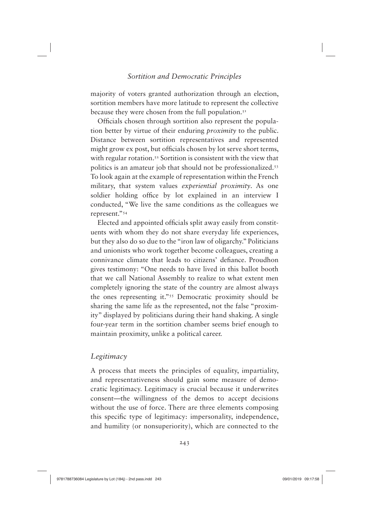# *Sortition and Democratic Principles*

majority of voters granted authorization through an election, sortition members have more latitude to represent the collective because they were chosen from the full population.<sup>51</sup>

Officials chosen through sortition also represent the population better by virtue of their enduring *proximity* to the public. Distance between sortition representatives and represented might grow ex post, but officials chosen by lot serve short terms. with regular rotation.<sup>52</sup> Sortition is consistent with the view that politics is an amateur job that should not be professionalized.<sup>53</sup> To look again at the example of representation within the French military, that system values *experiential proximity*. As one soldier holding office by lot explained in an interview I conducted, "We live the same conditions as the colleagues we represent."54

Elected and appointed officials split away easily from constituents with whom they do not share everyday life experiences, but they also do so due to the "iron law of oligarchy." Politicians and unionists who work together become colleagues, creating a connivance climate that leads to citizens' defiance. Proudhon gives testimony: "One needs to have lived in this ballot booth that we call National Assembly to realize to what extent men completely ignoring the state of the country are almost always the ones representing it."55 Democratic proximity should be sharing the same life as the represented, not the false "proximity" displayed by politicians during their hand shaking. A single four-year term in the sortition chamber seems brief enough to maintain proximity, unlike a political career.

# *Legitimacy*

A process that meets the principles of equality, impartiality, and representativeness should gain some measure of democratic legitimacy. Legitimacy is crucial because it underwrites consent—the willingness of the demos to accept decisions without the use of force. There are three elements composing this specific type of legitimacy: impersonality, independence, and humility (or nonsuperiority), which are connected to the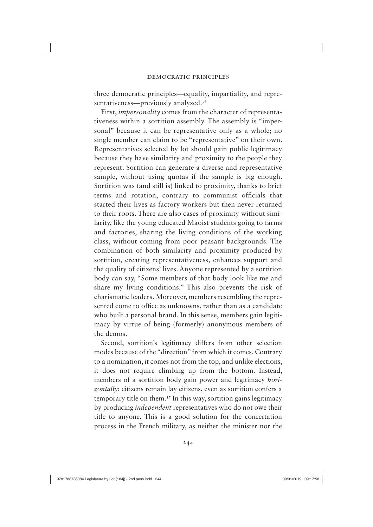#### democratic principles

three democratic principles—equality, impartiality, and representativeness—previously analyzed.<sup>56</sup>

First, *impersonality* comes from the character of representativeness within a sortition assembly. The assembly is "impersonal" because it can be representative only as a whole; no single member can claim to be "representative" on their own. Representatives selected by lot should gain public legitimacy because they have similarity and proximity to the people they represent. Sortition can generate a diverse and representative sample, without using quotas if the sample is big enough. Sortition was (and still is) linked to proximity, thanks to brief terms and rotation, contrary to communist officials that started their lives as factory workers but then never returned to their roots. There are also cases of proximity without similarity, like the young educated Maoist students going to farms and factories, sharing the living conditions of the working class, without coming from poor peasant backgrounds. The combination of both similarity and proximity produced by sortition, creating representativeness, enhances support and the quality of citizens' lives. Anyone represented by a sortition body can say, "Some members of that body look like me and share my living conditions." This also prevents the risk of charismatic leaders. Moreover, members resembling the represented come to office as unknowns, rather than as a candidate who built a personal brand. In this sense, members gain legitimacy by virtue of being (formerly) anonymous members of the demos.

Second, sortition's legitimacy differs from other selection modes because of the "direction" from which it comes. Contrary to a nomination, it comes not from the top, and unlike elections, it does not require climbing up from the bottom. Instead, members of a sortition body gain power and legitimacy *horizontally*: citizens remain lay citizens, even as sortition confers a temporary title on them.57 In this way, sortition gains legitimacy by producing *independent* representatives who do not owe their title to anyone. This is a good solution for the concertation process in the French military, as neither the minister nor the

244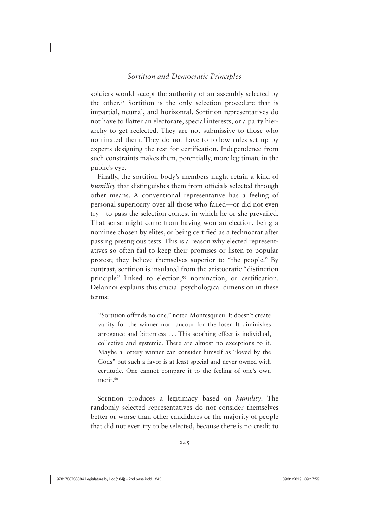# *Sortition and Democratic Principles*

soldiers would accept the authority of an assembly selected by the other.58 Sortition is the only selection procedure that is impartial, neutral, and horizontal. Sortition representatives do not have to flatter an electorate, special interests, or a party hierarchy to get reelected. They are not submissive to those who nominated them. They do not have to follow rules set up by experts designing the test for certification. Independence from such constraints makes them, potentially, more legitimate in the public's eye.

Finally, the sortition body's members might retain a kind of *humility* that distinguishes them from officials selected through other means. A conventional representative has a feeling of personal superiority over all those who failed—or did not even try—to pass the selection contest in which he or she prevailed. That sense might come from having won an election, being a nominee chosen by elites, or being certified as a technocrat after passing prestigious tests. This is a reason why elected representatives so often fail to keep their promises or listen to popular protest; they believe themselves superior to "the people." By contrast, sortition is insulated from the aristocratic "distinction principle" linked to election,<sup>59</sup> nomination, or certification. Delannoi explains this crucial psychological dimension in these terms:

"Sortition offends no one," noted Montesquieu. It doesn't create vanity for the winner nor rancour for the loser. It diminishes arrogance and bitterness . . . This soothing effect is individual, collective and systemic. There are almost no exceptions to it. Maybe a lottery winner can consider himself as "loved by the Gods" but such a favor is at least special and never owned with certitude. One cannot compare it to the feeling of one's own merit.<sup>60</sup>

Sortition produces a legitimacy based on *humility*. The randomly selected representatives do not consider themselves better or worse than other candidates or the majority of people that did not even try to be selected, because there is no credit to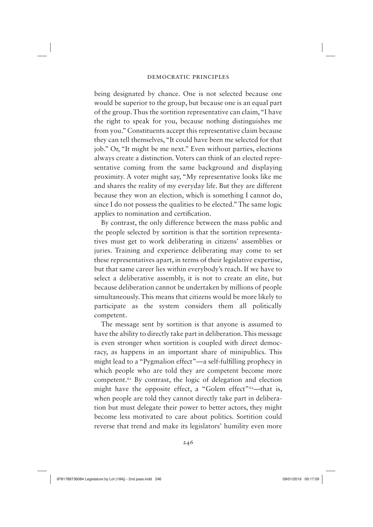#### democratic principles

being designated by chance. One is not selected because one would be superior to the group, but because one is an equal part of the group. Thus the sortition representative can claim, "I have the right to speak for you, because nothing distinguishes me from you." Constituents accept this representative claim because they can tell themselves, "It could have been me selected for that job." Or, "It might be me next." Even without parties, elections always create a distinction. Voters can think of an elected representative coming from the same background and displaying proximity. A voter might say, "My representative looks like me and shares the reality of my everyday life. But they are different because they won an election, which is something I cannot do, since I do not possess the qualities to be elected." The same logic applies to nomination and certification.

By contrast, the only difference between the mass public and the people selected by sortition is that the sortition representatives must get to work deliberating in citizens' assemblies or juries. Training and experience deliberating may come to set these representatives apart, in terms of their legislative expertise, but that same career lies within everybody's reach. If we have to select a deliberative assembly, it is not to create an elite, but because deliberation cannot be undertaken by millions of people simultaneously. This means that citizens would be more likely to participate as the system considers them all politically competent.

The message sent by sortition is that anyone is assumed to have the ability to directly take part in deliberation. This message is even stronger when sortition is coupled with direct democracy, as happens in an important share of minipublics. This might lead to a "Pygmalion effect"—a self-fulfilling prophecy in which people who are told they are competent become more competent.61 By contrast, the logic of delegation and election might have the opposite effect, a "Golem effect"<sup>62</sup>—that is, when people are told they cannot directly take part in deliberation but must delegate their power to better actors, they might become less motivated to care about politics. Sortition could reverse that trend and make its legislators' humility even more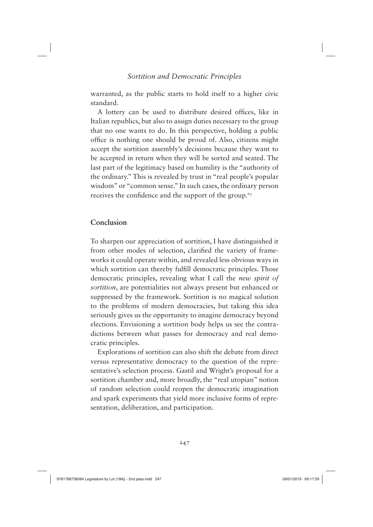# *Sortition and Democratic Principles*

warranted, as the public starts to hold itself to a higher civic standard.

A lottery can be used to distribute desired offices, like in Italian republics, but also to assign duties necessary to the group that no one wants to do. In this perspective, holding a public office is nothing one should be proud of. Also, citizens might accept the sortition assembly's decisions because they want to be accepted in return when they will be sorted and seated. The last part of the legitimacy based on humility is the "authority of the ordinary." This is revealed by trust in "real people's popular wisdom" or "common sense." In such cases, the ordinary person receives the confidence and the support of the group.<sup>63</sup>

# **Conclusion**

To sharpen our appreciation of sortition, I have distinguished it from other modes of selection, clarified the variety of frameworks it could operate within, and revealed less obvious ways in which sortition can thereby fulfill democratic principles. Those democratic principles, revealing what I call the *new spirit of sortition*, are potentialities not always present but enhanced or suppressed by the framework. Sortition is no magical solution to the problems of modern democracies, but taking this idea seriously gives us the opportunity to imagine democracy beyond elections. Envisioning a sortition body helps us see the contradictions between what passes for democracy and real democratic principles.

Explorations of sortition can also shift the debate from direct versus representative democracy to the question of the representative's selection process. Gastil and Wright's proposal for a sortition chamber and, more broadly, the "real utopian" notion of random selection could reopen the democratic imagination and spark experiments that yield more inclusive forms of representation, deliberation, and participation.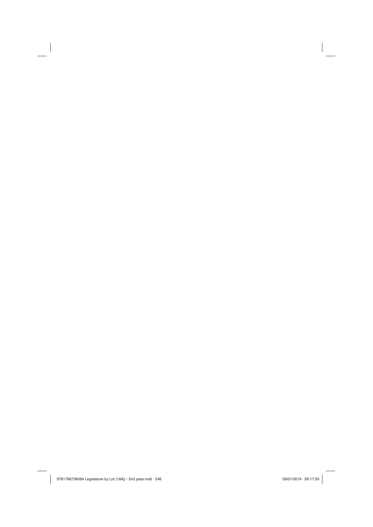9781788736084 Legislature by Lot (184j) - 2nd pass.indd 248 09/01/2019 09:17:59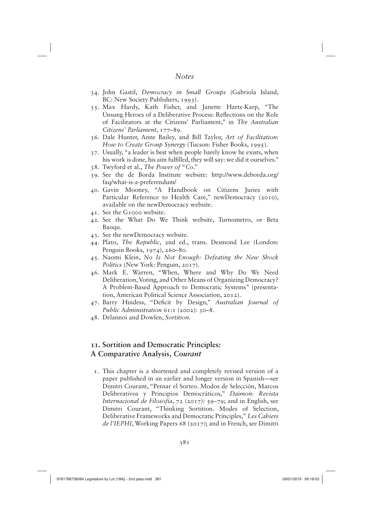#### *Notes*

- 34. John Gastil, *Democracy in Small Groups* (Gabriola Island, BC: New Society Publishers, 1993).
- 35. Max Hardy, Kath Fisher, and Janette Hartz-Karp, "The Unsung Heroes of a Deliberative Process: Reflections on the Role of Facilitators at the Citizens' Parliament," in *The Australian Citizens' Parliament*, 177–89.
- 36. Dale Hunter, Anne Bailey, and Bill Taylor, *Art of Facilitation: How to Create Group Synergy* (Tucson: Fisher Books, 1995).
- 37. Usually, "a leader is best when people barely know he exists, when his work is done, his aim fulfilled, they will say: we did it ourselves."
- 38. Twyford et al., *The Power of* "*Co*."
- 39. See the de Borda Institute website: http://www.deborda.org/ faq/what-is-a-preferendum/
- 40. Gavin Mooney, "A Handbook on Citizens Juries with Particular Reference to Health Care," newDemocracy (2010), available on the newDemocracy website.
- 41. See the G1000 website.
- 42. See the What Do We Think website, Turnometro, or Beta Baoqu.
- 43. See the newDemocracy website.
- 44. Plato, *The Republic*, 2nd ed., trans. Desmond Lee (London: Penguin Books, 1974), 260-80.
- 45. Naomi Klein, *No Is Not Enough: Defeating the New Shock Politics* (New York: Penguin, 2017).
- 46. Mark E. Warren, "When, Where and Why Do We Need Deliberation, Voting, and Other Means of Organizing Democracy? A Problem-Based Approach to Democratic Systems" (presentation, American Political Science Association, 2012).
- 47. Barry Hindess, "Deficit by Design," Australian Journal of *Public Administration* 61:1 (2002): 30–8.
- 48. Delannoi and Dowlen, *Sortition*.

# **11. Sortition and Democratic Principles: A Comparative Analysis,** *Courant*

1. This chapter is a shortened and completely revised version of a paper published in an earlier and longer version in Spanish—see Dimitri Courant, "Pensar el Sorteo. Modos de Selección, Marcos Deliberativos y Principios Democráticos," *Daimon: Revista Internacional de Filosofía*, 72 (2017): 59–79; and in English, see Dimitri Courant, "Thinking Sortition. Modes of Selection, Deliberative Frameworks and Democratic Principles," *Les Cahiers de l'IEPHI*, Working Papers 68 (2017); and in French, see Dimitri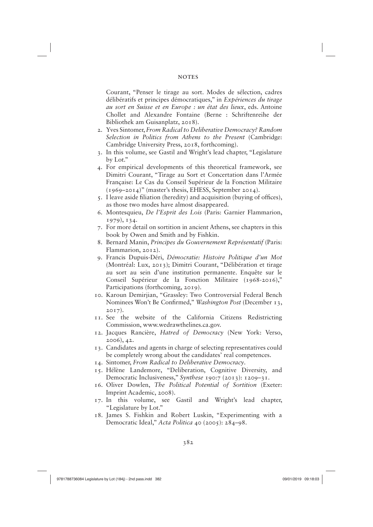#### **NOTES**

Courant, "Penser le tirage au sort. Modes de sélection, cadres délibératifs et principes démocratiques," in *Expériences du tirage au sort en Suisse et en Europe : un état des lieux*, eds. Antoine Chollet and Alexandre Fontaine (Berne : Schriftenreihe der Bibliothek am Guisanplatz, 2018).

- 2. Yves Sintomer, *From Radical to Deliberative Democracy? Random Selection in Politics from Athens to the Present* (Cambridge: Cambridge University Press, 2018, forthcoming).
- 3. In this volume, see Gastil and Wright's lead chapter, "Legislature by Lot."
- 4. For empirical developments of this theoretical framework, see Dimitri Courant, "Tirage au Sort et Concertation dans l'Armée Française: Le Cas du Conseil Supérieur de la Fonction Militaire (1969–2014)" (master's thesis, EHESS, September 2014).
- 5. I leave aside filiation (heredity) and acquisition (buying of offices), as those two modes have almost disappeared.
- 6. Montesquieu, *De l'Esprit des Lois* (Paris: Garnier Flammarion, 1979), 134.
- 7. For more detail on sortition in ancient Athens, see chapters in this book by Owen and Smith and by Fishkin.
- 8. Bernard Manin, *Principes du Gouvernement Représentatif* (Paris: Flammarion, 2012).
- 9. Francis Dupuis-Déri, *Démocratie: Histoire Politique d'un Mot* (Montréal: Lux, 2013); Dimitri Courant, "Délibération et tirage au sort au sein d'une institution permanente. Enquête sur le Conseil Supérieur de la Fonction Militaire (1968-2016)," Participations (forthcoming, 2019).
- 10. Karoun Demirjian, "Grassley: Two Controversial Federal Bench Nominees Won't Be Confirmed," *Washington Post* (December 13, 2017).
- 11. See the website of the California Citizens Redistricting Commission, www.wedrawthelines.ca.gov.
- 12. Jacques Rancière, *Hatred of Democracy* (New York: Verso, 2006), 42.
- 13. Candidates and agents in charge of selecting representatives could be completely wrong about the candidates' real competences.
- 14. Sintomer, *From Radical to Deliberative Democracy*.
- 15. Hélène Landemore, "Deliberation, Cognitive Diversity, and Democratic Inclusiveness," *Synthese* 190:7 (2013): 1209–31.
- 16. Oliver Dowlen, *The Political Potential of Sortition* (Exeter: Imprint Academic, 2008).
- 17. In this volume, see Gastil and Wright's lead chapter, "Legislature by Lot."
- 18. James S. Fishkin and Robert Luskin, "Experimenting with a Democratic Ideal," *Acta Politica* 40 (2005): 284–98.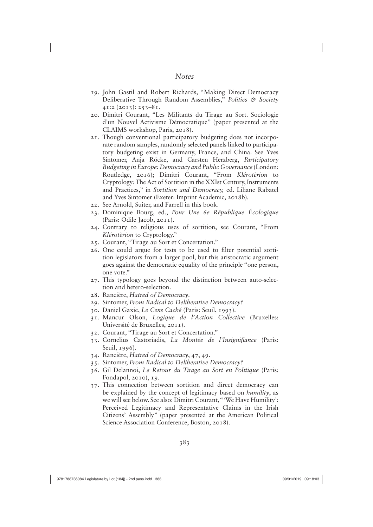# *Notes*

- 19. John Gastil and Robert Richards, "Making Direct Democracy Deliberative Through Random Assemblies," *Politics & Society* 41:2 (2013): 253–81.
- 20. Dimitri Courant, "Les Militants du Tirage au Sort. Sociologie d'un Nouvel Activisme Démocratique" (paper presented at the CLAIMS workshop, Paris, 2018).
- 21. Though conventional participatory budgeting does not incorporate random samples, randomly selected panels linked to participatory budgeting exist in Germany, France, and China. See Yves Sintomer, Anja Röcke, and Carsten Herzberg, *Participatory Budgeting in Europe: Democracy and Public Governance* (London: Routledge, 2016); Dimitri Courant, "From *Klérotèrion* to Cryptology: The Act of Sortition in the XXIst Century, Instruments and Practices," in *Sortition and Democracy,* ed. Liliane Rabatel and Yves Sintomer (Exeter: Imprint Academic, 2018b).
- 22. See Arnold, Suiter, and Farrell in this book.
- 23. Dominique Bourg, ed., *Pour Une 6e République Écologique* (Paris: Odile Jacob, 2011).
- 24. Contrary to religious uses of sortition, see Courant, "From *Klérotèrion* to Cryptology."
- 25. Courant, "Tirage au Sort et Concertation."
- 26. One could argue for tests to be used to filter potential sortition legislators from a larger pool, but this aristocratic argument goes against the democratic equality of the principle "one person, one vote."
- 27. This typology goes beyond the distinction between auto-selection and hetero-selection.
- 28. Rancière, *Hatred of Democracy*.
- 29. Sintomer, *From Radical to Deliberative Democracy?*
- 30. Daniel Gaxie, *Le Cens Caché* (Paris: Seuil, 1993).
- 31. Mancur Olson, *Logique de l'Action Collective* (Bruxelles: Université de Bruxelles, 2011).
- 32. Courant, "Tirage au Sort et Concertation."
- 33. Cornelius Castoriadis, *La Montée de l'Insignifiance* (Paris: Seuil, 1996).
- 34. Rancière, *Hatred of Democracy*, 47, 49.
- 35. Sintomer, *From Radical to Deliberative Democracy?*
- 36. Gil Delannoi, *Le Retour du Tirage au Sort en Politique* (Paris: Fondapol, 2010), 19.
- 37. This connection between sortition and direct democracy can be explained by the concept of legitimacy based on *humility*, as we will see below. See also: Dimitri Courant, " 'We Have Humility': Perceived Legitimacy and Representative Claims in the Irish Citizens' Assembly" (paper presented at the American Political Science Association Conference, Boston, 2018).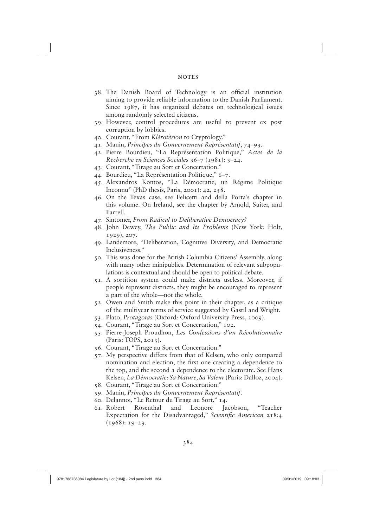#### **NOTES**

- 38. The Danish Board of Technology is an official institution aiming to provide reliable information to the Danish Parliament. Since 1987, it has organized debates on technological issues among randomly selected citizens.
- 39. However, control procedures are useful to prevent ex post corruption by lobbies.
- 40. Courant, "From *Klérotèrion* to Cryptology."
- 41. Manin, *Principes du Gouvernement Représentatif*, 74–93.
- 42. Pierre Bourdieu, "La Représentation Politique," *Actes de la Recherche en Sciences Sociales* 36–7 (1981): 3–24.
- 43. Courant, "Tirage au Sort et Concertation."
- 44. Bourdieu, "La Représentation Politique," 6–7.
- 45. Alexandros Kontos, "La Démocratie, un Régime Politique Inconnu" (PhD thesis, Paris, 2001): 42, 258.
- 46. On the Texas case, see Felicetti and della Porta's chapter in this volume. On Ireland, see the chapter by Arnold, Suiter, and Farrell.
- 47. Sintomer, *From Radical to Deliberative Democracy?*
- 48. John Dewey, *The Public and Its Problems* (New York: Holt, 1929), 207.
- 49. Landemore, "Deliberation, Cognitive Diversity, and Democratic Inclusiveness."
- 50. This was done for the British Columbia Citizens' Assembly, along with many other minipublics. Determination of relevant subpopulations is contextual and should be open to political debate.
- 51. A sortition system could make districts useless. Moreover, if people represent districts, they might be encouraged to represent a part of the whole—not the whole.
- 52. Owen and Smith make this point in their chapter, as a critique of the multiyear terms of service suggested by Gastil and Wright.
- 53. Plato, *Protagoras* (Oxford: Oxford University Press, 2009).
- 54. Courant, "Tirage au Sort et Concertation," 102.
- 55. Pierre-Joseph Proudhon, *Les Confessions d'un Révolutionnaire* (Paris: TOPS, 2013).
- 56. Courant, "Tirage au Sort et Concertation."
- 57. My perspective differs from that of Kelsen, who only compared nomination and election, the first one creating a dependence to the top, and the second a dependence to the electorate. See Hans Kelsen, *La Démocratie: Sa Nature, Sa Valeur* (Paris: Dalloz, 2004).
- 58. Courant, "Tirage au Sort et Concertation."
- 59. Manin, *Principes du Gouvernement Représentatif*.
- 60. Delannoi, "Le Retour du Tirage au Sort," 14.
- 61. Robert Rosenthal and Leonore Jacobson, "Teacher Expectation for the Disadvantaged," *Scientific American* 218:4  $(1968): 19-23.$

9781788736084 Legislature by Lot (184j) - 2nd pass.indd 384 09/01/2019 09:18:03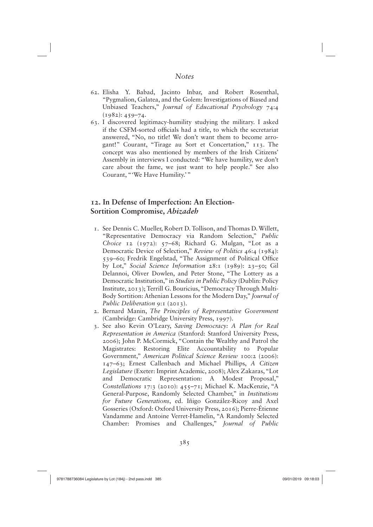# *Notes*

- 62. Elisha Y. Babad, Jacinto Inbar, and Robert Rosenthal, "Pygmalion, Galatea, and the Golem: Investigations of Biased and Unbiased Teachers," *Journal of Educational Psychology* 74:4 (1982): 459–74.
- 63. I discovered legitimacy-humility studying the military. I asked if the CSFM-sorted officials had a title, to which the secretariat answered, "No, no title! We don't want them to become arrogant!" Courant, "Tirage au Sort et Concertation," 113. The concept was also mentioned by members of the Irish Citizens' Assembly in interviews I conducted: "We have humility, we don't care about the fame, we just want to help people." See also Courant, "We Have Humility.'"

# **12. In Defense of Imperfection: An Election-Sortition Compromise,** *Abizadeh*

- 1. See Dennis C. Mueller, Robert D. Tollison, and Thomas D. Willett, "Representative Democracy via Random Selection," *Public Choice* 12 (1972): 57–68; Richard G. Mulgan, "Lot as a Democratic Device of Selection," *Review of Politics* 46:4 (1984): 539–60; Fredrik Engelstad, "The Assignment of Political Office by Lot," *Social Science Information* 28:1 (1989): 23–50; Gil Delannoi, Oliver Dowlen, and Peter Stone, "The Lottery as a Democratic Institution," in *Studies in Public Policy* (Dublin: Policy Institute, 2013); Terrill G. Bouricius, "Democracy Through Multi-Body Sortition: Athenian Lessons for the Modern Day," *Journal of Public Deliberation* 9:1 (2013).
- 2. Bernard Manin, *The Principles of Representative Government* (Cambridge: Cambridge University Press, 1997).
- 3. See also Kevin O'Leary, *Saving Democracy: A Plan for Real Representation in America* (Stanford: Stanford University Press, 2006); John P. McCormick, "Contain the Wealthy and Patrol the Magistrates: Restoring Elite Accountability to Popular Government," *American Political Science Review* 100:2 (2006): 147–63; Ernest Callenbach and Michael Phillips, *A Citizen Legislature* (Exeter: Imprint Academic, 2008); Alex Zakaras, "Lot and Democratic Representation: A Modest Proposal," *Constellations* 17:3 (2010): 455–71; Michael K. MacKenzie, "A General-Purpose, Randomly Selected Chamber," in *Institutions for Future Generations*, ed. Iñigo González-Ricoy and Axel Gosseries (Oxford: Oxford University Press, 2016); Pierre-Étienne Vandamme and Antoine Verret-Hamelin, "A Randomly Selected Chamber: Promises and Challenges," *Journal of Public*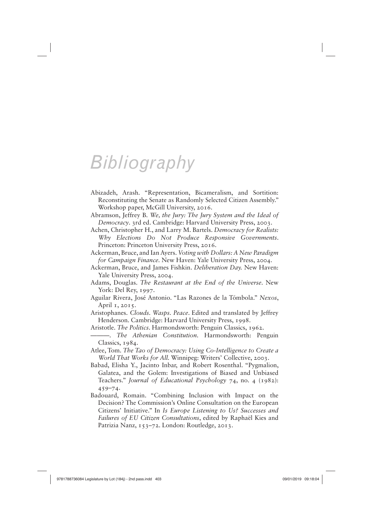- Abizadeh, Arash. "Representation, Bicameralism, and Sortition: Reconstituting the Senate as Randomly Selected Citizen Assembly." Workshop paper, McGill University, 2016.
- Abramson, Jeffrey B. *We, the Jury: The Jury System and the Ideal of Democracy*. 3rd ed. Cambridge: Harvard University Press, 2003.
- Achen, Christopher H., and Larry M. Bartels. *Democracy for Realists: Why Elections Do Not Produce Responsive Governments*. Princeton: Princeton University Press, 2016.
- Ackerman, Bruce, and Ian Ayers. *Voting with Dollars: A New Paradigm for Campaign Finance.* New Haven: Yale University Press, 2004.
- Ackerman, Bruce, and James Fishkin. *Deliberation Day.* New Haven: Yale University Press, 2004.
- Adams, Douglas. *The Restaurant at the End of the Universe*. New York: Del Rey, 1997.
- Aguilar Rivera, José Antonio. "Las Razones de la Tómbola." *Nexos*, April 1, 2015.
- Aristophanes. *Clouds. Wasps. Peace*. Edited and translated by Jeffrey Henderson. Cambridge: Harvard University Press, 1998.
- Aristotle. *The Politics*. Harmondsworth: Penguin Classics, 1962.
- ———. *The Athenian Constitution.* Harmondsworth: Penguin Classics, 1984.
- Atlee, Tom. *The Tao of Democracy: Using Co-Intelligence to Create a World That Works for All.* Winnipeg: Writers' Collective, 2003.
- Babad, Elisha Y., Jacinto Inbar, and Robert Rosenthal. "Pygmalion, Galatea, and the Golem: Investigations of Biased and Unbiased Teachers." *Journal of Educational Psychology* 74, no. 4 (1982):  $459 - 74.$
- Badouard, Romain. "Combining Inclusion with Impact on the Decision? The Commission's Online Consultation on the European Citizens' Initiative." In *Is Europe Listening to Us? Successes and Failures of EU Citizen Consultations*, edited by Raphaël Kies and Patrizia Nanz, 153–72. London: Routledge, 2013.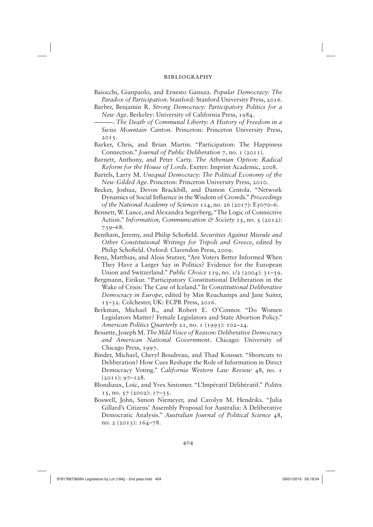- Baiocchi, Gianpaolo, and Ernesto Ganuza. *Popular Democracy: The Paradox of Participation*. Stanford: Stanford University Press, 2016.
- Barber, Benjamin R. *Strong Democracy: Participatory Politics for a New Age*. Berkeley: University of California Press, 1984.
- ———. *The Death of Communal Liberty: A History of Freedom in a Swiss Mountain Canton.* Princeton: Princeton University Press, 2015.
- Barker, Chris, and Brian Martin. "Participation: The Happiness Connection." *Journal of Public Deliberation* 7, no. 1 (2011).
- Barnett, Anthony, and Peter Carty. *The Athenian Option: Radical Reform for the House of Lords*. Exeter: Imprint Academic, 2008.
- Bartels, Larry M. *Unequal Democracy: The Political Economy of the New Gilded Age*. Princeton: Princeton University Press, 2010.
- Becker, Joshua, Devon Brackbill, and Damon Centola. "Network Dynamics of Social Influence in the Wisdom of Crowds." Proceedings *of the National Academy of Sciences* 114, no. 26 (2017): E5070–6.
- Bennett, W. Lance, and Alexandra Segerberg, "The Logic of Connective Action." *Information, Communication & Society* 15, no. 5 (2012): 739–68.
- Bentham, Jeremy, and Philip Schofield. Securities Against Misrule and *Other Constitutional Writings for Tripoli and Greece*, edited by Philip Schofield. Oxford: Clarendon Press, 2009.
- Benz, Matthias, and Alois Stutzer, "Are Voters Better Informed When They Have a Larger Say in Politics? Evidence for the European Union and Switzerland." *Public Choice* 119, no. 1/2 (2004): 31-59.
- Bergmann, Eirikur. "Participatory Constitutional Deliberation in the Wake of Crisis: The Case of Iceland." In *Constitutional Deliberative Democracy in Europe*, edited by Min Reuchamps and Jane Suiter, 15–32. Colchester, UK: ECPR Press, 2016.
- Berkman, Michael B., and Robert E. O'Connor. "Do Women Legislators Matter? Female Legislators and State Abortion Policy." *American Politics Quarterly* 21, no. 1 (1993): 102–24.
- Bessette, Joseph M. *The Mild Voice of Reason: Deliberative Democracy and American National Government*. Chicago: University of Chicago Press, 1997.
- Binder, Michael, Cheryl Boudreau, and Thad Kousser. "Shortcuts to Deliberation? How Cues Reshape the Role of Information in Direct Democracy Voting." *California Western Law Review* 48, no. 1  $(2011): 97 - 128.$
- Blondiaux, Loïc, and Yves Sintomer. "L'Impératif Délibératif." *Politix*  $15$ , no.  $57$  (2002):  $17-35$ .
- Boswell, John, Simon Niemeyer, and Carolyn M. Hendriks. "Julia Gillard's Citizens' Assembly Proposal for Australia: A Deliberative Democratic Analysis." *Australian Journal of Political Science* 48, no. 2 (2013): 164–78.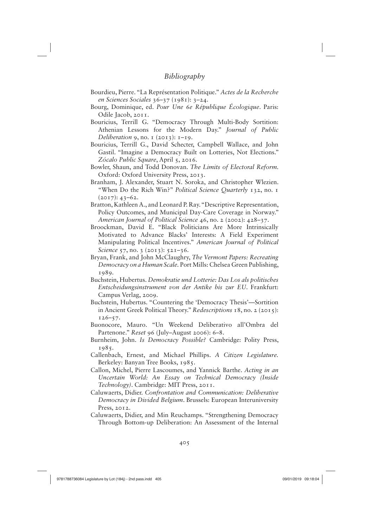- Bourdieu, Pierre. "La Représentation Politique." *Actes de la Recherche en Sciences Sociales* 36–37 (1981): 3–24.
- Bourg, Dominique, ed. *Pour Une 6e République Écologique*. Paris: Odile Jacob, 2011.
- Bouricius, Terrill G. "Democracy Through Multi-Body Sortition: Athenian Lessons for the Modern Day." *Journal of Public Deliberation* 9, no. 1 (2013): 1-19.
- Bouricius, Terrill G., David Schecter, Campbell Wallace, and John Gastil. "Imagine a Democracy Built on Lotteries, Not Elections." *Zócalo Public Square*, April 5, 2016.
- Bowler, Shaun, and Todd Donovan. *The Limits of Electoral Reform.*  Oxford: Oxford University Press, 2013.
- Branham, J. Alexander, Stuart N. Soroka, and Christopher Wlezien. "When Do the Rich Win?" *Political Science Quarterly* 132, no. 1  $(2017): 43-62.$
- Bratton, Kathleen A., and Leonard P. Ray. "Descriptive Representation, Policy Outcomes, and Municipal Day-Care Coverage in Norway." *American Journal of Political Science* 46, no. 2 (2002): 428–37.
- Broockman, David E. "Black Politicians Are More Intrinsically Motivated to Advance Blacks' Interests: A Field Experiment Manipulating Political Incentives." *American Journal of Political Science* 57, no. 3 (2013): 521-36.
- Bryan, Frank, and John McClaughry, *The Vermont Papers: Recreating Democracy on a Human Scale.* Port Mills: Chelsea Green Publishing, 1989.
- Buchstein, Hubertus. *Demokratie und Lotterie: Das Los als politisches Entscheidungsinstrument von der Antike bis zur EU*. Frankfurt: Campus Verlag, 2009.
- Buchstein, Hubertus. "Countering the 'Democracy Thesis'—Sortition in Ancient Greek Political Theory." *Redescriptions* 18, no. 2 (2015): 126–57.
- Buonocore, Mauro. "Un Weekend Deliberativo all'Ombra del Partenone." *Reset* 96 (July–August 2006): 6–8.
- Burnheim, John. *Is Democracy Possible?* Cambridge: Polity Press, 1985.
- Callenbach, Ernest, and Michael Phillips. *A Citizen Legislature.* Berkeley: Banyan Tree Books, 1985.
- Callon, Michel, Pierre Lascoumes, and Yannick Barthe. *Acting in an Uncertain World: An Essay on Technical Democracy (Inside Technology)*. Cambridge: MIT Press, 2011.
- Caluwaerts, Didier. *Confrontation and Communication: Deliberative Democracy in Divided Belgium*. Brussels: European Interuniversity Press, 2012.

Caluwaerts, Didier, and Min Reuchamps. "Strengthening Democracy Through Bottom-up Deliberation: An Assessment of the Internal

9781788736084 Legislature by Lot (184j) - 2nd pass.indd 405 09/01/2019 09:18:04 09/01/2019 09:18:04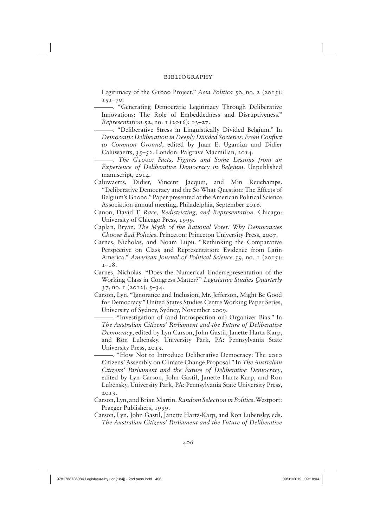Legitimacy of the G1000 Project." *Acta Politica* 50, no. 2 (2015):  $151 - 70.$ 

———. "Generating Democratic Legitimacy Through Deliberative Innovations: The Role of Embeddedness and Disruptiveness." *Representation* 52, no. 1 (2016): 13–27.

-. "Deliberative Stress in Linguistically Divided Belgium." In *Democratic Deliberation in Deeply Divided Societies: From Confl ict to Common Ground*, edited by Juan E. Ugarriza and Didier Caluwaerts, 35–52. London: Palgrave Macmillan, 2014.

———. *The G1000: Facts, Figures and Some Lessons from an Experience of Deliberative Democracy in Belgium*. Unpublished manuscript, 2014.

- Caluwaerts, Didier, Vincent Jacquet, and Min Reuchamps. "Deliberative Democracy and the So What Question: The Effects of Belgium's G1000." Paper presented at the American Political Science Association annual meeting, Philadelphia, September 2016.
- Canon, David T. *Race, Redistricting, and Representation.* Chicago: University of Chicago Press, 1999.
- Caplan, Bryan. *The Myth of the Rational Voter: Why Democracies Choose Bad Policies*. Princeton: Princeton University Press, 2007.
- Carnes, Nicholas, and Noam Lupu. "Rethinking the Comparative Perspective on Class and Representation: Evidence from Latin America." *American Journal of Political Science* 59, no. 1 (2015):  $T-T8$ .
- Carnes, Nicholas. "Does the Numerical Underrepresentation of the Working Class in Congress Matter?" *Legislative Studies Quarterly*   $37, no. I (20I2): 5-34.$
- Carson, Lyn. "Ignorance and Inclusion, Mr. Jefferson, Might Be Good for Democracy." United States Studies Centre Working Paper Series, University of Sydney, Sydney, November 2009.

———. "Investigation of (and Introspection on) Organizer Bias." In *The Australian Citizens' Parliament and the Future of Deliberative Democracy*, edited by Lyn Carson, John Gastil, Janette Hartz-Karp, and Ron Lubensky. University Park, PA: Pennsylvania State University Press, 2013.

———. "How Not to Introduce Deliberative Democracy: The 2010 Citizens' Assembly on Climate Change Proposal." In *The Australian Citizens' Parliament and the Future of Deliberative Democracy*, edited by Lyn Carson, John Gastil, Janette Hartz-Karp, and Ron Lubensky. University Park, PA: Pennsylvania State University Press, 2013.

Carson, Lyn, and Brian Martin. *Random Selection in Politics*. Westport: Praeger Publishers, 1999.

Carson, Lyn, John Gastil, Janette Hartz-Karp, and Ron Lubensky, eds. *The Australian Citizens' Parliament and the Future of Deliberative*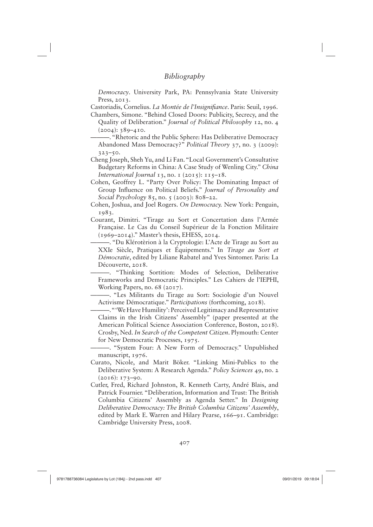*Democracy*. University Park, PA: Pennsylvania State University Press, 2013.

Castoriadis, Cornelius. *La Montée de l'Insignifiance*. Paris: Seuil, 1996. Chambers, Simone. "Behind Closed Doors: Publicity, Secrecy, and the

Quality of Deliberation." *Journal of Political Philosophy* 12, no. 4  $(2004): 389 - 410.$ 

———. "Rhetoric and the Public Sphere: Has Deliberative Democracy Abandoned Mass Democracy?" *Political Theory* 37, no. 3 (2009): 323–50.

- Cheng Joseph, Sheh Yu, and Li Fan. "Local Government's Consultative Budgetary Reforms in China: A Case Study of Wenling City." *China International Journal* 13, no. 1 (2015): 115–18.
- Cohen, Geoffrey L. "Party Over Policy: The Dominating Impact of Group Influence on Political Beliefs." *Journal of Personality and Social Psychology* 85, no. 5 (2003): 808–22.
- Cohen, Joshua, and Joel Rogers. *On Democracy.* New York: Penguin, 1983.
- Courant, Dimitri. "Tirage au Sort et Concertation dans l'Armée Française. Le Cas du Conseil Supérieur de la Fonction Militaire (1969–2014)." Master's thesis, EHESS, 2014.
- ———. "Du Klérotèrion à la Cryptologie: L'Acte de Tirage au Sort au XXIe Siècle, Pratiques et Équipements." In *Tirage au Sort et Démocratie*, edited by Liliane Rabatel and Yves Sintomer. Paris: La Découverte, 2018.
- ———. "Thinking Sortition: Modes of Selection, Deliberative Frameworks and Democratic Principles." Les Cahiers de l'IEPHI, Working Papers, no. 68 (2017).
- ———. "Les Militants du Tirage au Sort: Sociologie d'un Nouvel Activisme Démocratique." *Participations* (forthcoming, 2018).
- ———. " 'We Have Humility': Perceived Legitimacy and Representative Claims in the Irish Citizens' Assembly" (paper presented at the American Political Science Association Conference, Boston, 2018). Crosby, Ned. *In Search of the Competent Citizen*. Plymouth: Center for New Democratic Processes, 1975.

———. "System Four: A New Form of Democracy." Unpublished manuscript, 1976.

Curato, Nicole, and Marit Böker. "Linking Mini-Publics to the Deliberative System: A Research Agenda." *Policy Sciences* 49, no. 2 (2016): 173–90.

Cutler, Fred, Richard Johnston, R. Kenneth Carty, André Blais, and Patrick Fournier. "Deliberation, Information and Trust: The British Columbia Citizens' Assembly as Agenda Setter." In *Designing Deliberative Democracy: The British Columbia Citizens' Assembly*, edited by Mark E. Warren and Hilary Pearse, 166–91. Cambridge: Cambridge University Press, 2008.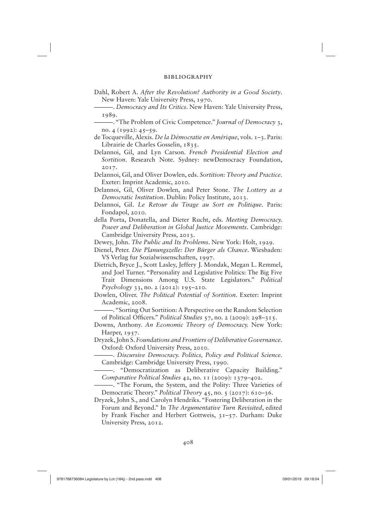- Dahl, Robert A. *After the Revolution? Authority in a Good Society*. New Haven: Yale University Press, 1970.
- ———. *Democracy and Its Critics*. New Haven: Yale University Press, 1989.
- ———. "The Problem of Civic Competence." *Journal of Democracy* 3, no.  $4(1992): 45-59$ .
- de Tocqueville, Alexis. *De la Démocratie en Amérique*, vols. 1–3. Paris: Librairie de Charles Gosselin, 1835.
- Delannoi, Gil, and Lyn Carson. *French Presidential Election and Sortition*. Research Note. Sydney: newDemocracy Foundation, 2017.
- Delannoi, Gil, and Oliver Dowlen, eds. *Sortition: Theory and Practice*. Exeter: Imprint Academic, 2010.
- Delannoi, Gil, Oliver Dowlen, and Peter Stone. *The Lottery as a Democratic Institution*. Dublin: Policy Institute, 2013.
- Delannoi, Gil. *Le Retour du Tirage au Sort en Politique.* Paris: Fondapol, 2010.
- della Porta, Donatella, and Dieter Rucht, eds. *Meeting Democracy. Power and Deliberation in Global Justice Movements.* Cambridge: Cambridge University Press, 2013.
- Dewey, John. *The Public and Its Problems*. New York: Holt, 1929.
- Dienel, Peter. *Die Planungszelle: Der Bürger als Chance*. Wiesbaden: VS Verlag fur Sozialwissenschaften, 1997.
- Dietrich, Bryce J., Scott Lasley, Jeffery J. Mondak, Megan L. Remmel, and Joel Turner. "Personality and Legislative Politics: The Big Five Trait Dimensions Among U.S. State Legislators." *Political Psychology* 33, no. 2 (2012): 195–210.
- Dowlen, Oliver. *The Political Potential of Sortition*. Exeter: Imprint Academic, 2008.
- ———. "Sorting Out Sortition: A Perspective on the Random Selection of Political Officers." *Political Studies* 57, no. 2 (2009): 298-315.
- Downs, Anthony. *An Economic Theory of Democracy.* New York: Harper, 1957.
- Dryzek, John S. *Foundations and Frontiers of Deliberative Governance*. Oxford: Oxford University Press, 2010.
- ———. *Discursive Democracy. Politics, Policy and Political Science*. Cambridge: Cambridge University Press, 1990.
- ———. "Democratization as Deliberative Capacity Building." *Comparative Political Studies* 42, no. 11 (2009): 1379–402.
- ———. "The Forum, the System, and the Polity: Three Varieties of Democratic Theory." *Political Theory* 45, no. 5 (2017): 610–36.
- Dryzek, John S., and Carolyn Hendriks. "Fostering Deliberation in the Forum and Beyond." In *The Argumentative Turn Revisited*, edited by Frank Fischer and Herbert Gottweis, 31–57. Durham: Duke University Press, 2012.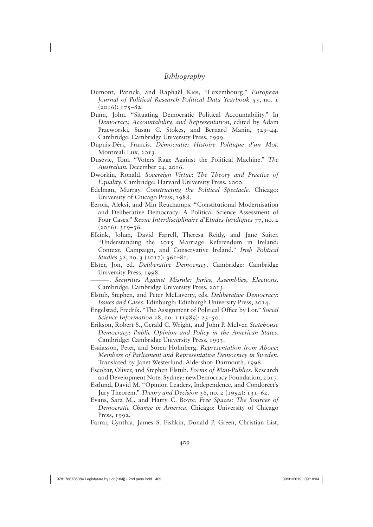- Dumont, Patrick, and Raphaël Kies, "Luxembourg." *European Journal of Political Research Political Data Yearbook* 55, no. 1  $(2016): 175-82.$
- Dunn, John. "Situating Democratic Political Accountability." In *Democracy, Accountability, and Representation*, edited by Adam Przeworski, Susan C. Stokes, and Bernard Manin, 329–44. Cambridge: Cambridge University Press, 1999.
- Dupuis-Déri, Francis. *Démocratie: Histoire Politique d'un Mot*. Montreal: Lux, 2013.
- Dusevic, Tom. "Voters Rage Against the Political Machine." *The Australian*, December 24, 2016.
- Dworkin, Ronald. *Sovereign Virtue: The Theory and Practice of Equality.* Cambridge: Harvard University Press, 2000.
- Edelman, Murray. *Constructing the Political Spectacle.* Chicago: University of Chicago Press, 1988.
- Eerola, Aleksi, and Min Reuchamps. "Constitutional Modernisation and Deliberative Democracy: A Political Science Assessment of Four Cases." *Revue Interdisciplinaire d'Etudes Juridiques* 77, no. 2  $(2016): 319-36.$
- Elkink, Johan, David Farrell, Theresa Reidy, and Jane Suiter. "Understanding the 2015 Marriage Referendum in Ireland: Context, Campaign, and Conservative Ireland." *Irish Political Studies* 32, no. 3 (2017): 361–81.
- Elster, Jon, ed. *Deliberative Democracy*. Cambridge: Cambridge University Press, 1998.
- ———. *Securities Against Misrule: Juries, Assemblies, Elections.* Cambridge: Cambridge University Press, 2013.
- Elstub, Stephen, and Peter McLaverty, eds. *Deliberative Democracy: Issues and Cases*. Edinburgh: Edinburgh University Press, 2014.
- Engelstad, Fredrik. "The Assignment of Political Office by Lot." Social *Science Information* 28, no. 1 (1989): 23–50.
- Erikson, Robert S., Gerald C. Wright, and John P. McIver. *Statehouse Democracy: Public Opinion and Policy in the American States*. Cambridge: Cambridge University Press, 1993.
- Esaiasson, Peter, and Sören Holmberg. *Representation from Above: Members of Parliament and Representative Democracy in Sweden*. Translated by Janet Westerlund. Aldershot: Darmouth, 1996.
- Escobar, Oliver, and Stephen Elstub. *Forms of Mini-Publics*. Research and Development Note. Sydney: newDemocracy Foundation, 2017.
- Estlund, David M. "Opinion Leaders, Independence, and Condorcet's Jury Theorem." *Theory and Decision* 36, no. 2 (1994): 131–62.
- Evans, Sara M., and Harry C. Boyte. *Free Spaces: The Sources of Democratic Change in America.* Chicago: University of Chicago Press, 1992.
- Farrar, Cynthia, James S. Fishkin, Donald P. Green, Christian List,

9781788736084 Legislature by Lot (184j) - 2nd pass.indd 409 09/01/2019 09:18:04 09/01/2019 09:18:04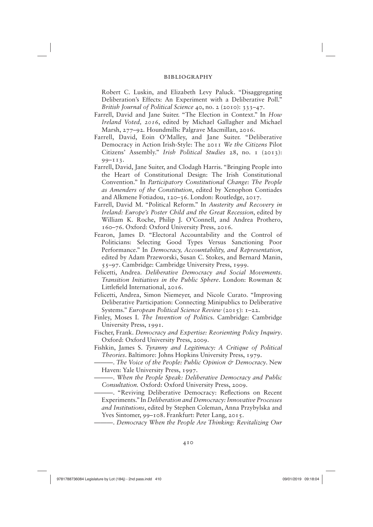Robert C. Luskin, and Elizabeth Levy Paluck. "Disaggregating Deliberation's Effects: An Experiment with a Deliberative Poll." *British Journal of Political Science* 40, no. 2 (2010): 333–47.

- Farrell, David and Jane Suiter. "The Election in Context." In *How Ireland Voted, 2016*, edited by Michael Gallagher and Michael Marsh, 277–92*.* Houndmills: Palgrave Macmillan, 2016.
- Farrell, David, Eoin O'Malley, and Jane Suiter. "Deliberative Democracy in Action Irish-Style: The 2011 *We the Citizens* Pilot Citizens' Assembly." *Irish Political Studies* 28, no. 1 (2013): 99–113.
- Farrell, David, Jane Suiter, and Clodagh Harris. "Bringing People into the Heart of Constitutional Design: The Irish Constitutional Convention." In *Participatory Constitutional Change: The People as Amenders of the Constitution*, edited by Xenophon Contiades and Alkmene Fotiadou, 120–36. London: Routledge, 2017.
- Farrell, David M. "Political Reform." In *Austerity and Recovery in Ireland: Europe's Poster Child and the Great Recession*, edited by William K. Roche, Philip J. O'Connell, and Andrea Prothero, 160–76. Oxford: Oxford University Press, 2016.
- Fearon, James D. "Electoral Accountability and the Control of Politicians: Selecting Good Types Versus Sanctioning Poor Performance." In *Democracy, Accountability, and Representation*, edited by Adam Przeworski, Susan C. Stokes, and Bernard Manin, 55–97. Cambridge: Cambridge University Press, 1999.
- Felicetti, Andrea. *Deliberative Democracy and Social Movements. Transition Initiatives in the Public Sphere*. London: Rowman & Littlefield International, 2016.
- Felicetti, Andrea, Simon Niemeyer, and Nicole Curato. "Improving Deliberative Participation: Connecting Minipublics to Deliberative Systems." *European Political Science Review* (2015): 1–22.
- Finley, Moses I. *The Invention of Politic*s. Cambridge: Cambridge University Press, 1991.
- Fischer, Frank. *Democracy and Expertise: Reorienting Policy Inquiry*. Oxford: Oxford University Press, 2009.
- Fishkin, James S. *Tyranny and Legitimacy: A Critique of Political Theories*. Baltimore: Johns Hopkins University Press, 1979.
- ———. *The Voice of the People: Public Opinion & Democracy*. New Haven: Yale University Press, 1997.
- ———. *When the People Speak: Deliberative Democracy and Public Consultation.* Oxford: Oxford University Press, 2009.
- —. "Reviving Deliberative Democracy: Reflections on Recent Experiments." In *Deliberation and Democracy: Innovative Processes and Institutions*, edited by Stephen Coleman, Anna Przybylska and Yves Sintomer, 99–108. Frankfurt: Peter Lang, 2015.

<sup>———.</sup> *Democracy When the People Are Thinking: Revitalizing Our*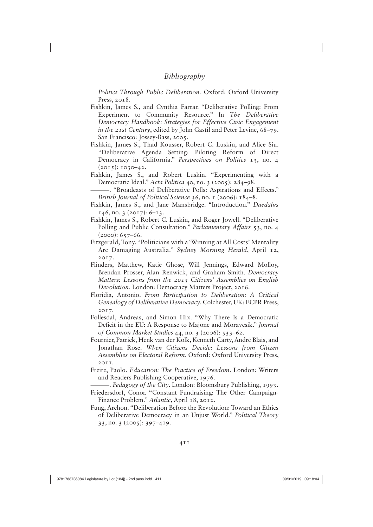*Politics Through Public Deliberation.* Oxford: Oxford University Press, 2018.

- Fishkin, James S., and Cynthia Farrar. "Deliberative Polling: From Experiment to Community Resource." In *The Deliberative Democracy Handbook: Strategies for Effective Civic Engagement in the 21st Century*, edited by John Gastil and Peter Levine, 68–79. San Francisco: Jossey-Bass, 2005.
- Fishkin, James S., Thad Kousser, Robert C. Luskin, and Alice Siu. "Deliberative Agenda Setting: Piloting Reform of Direct Democracy in California." *Perspectives on Politics* 13, no. 4  $(2015): 1030 - 42.$
- Fishkin, James S., and Robert Luskin. "Experimenting with a Democratic Ideal." *Acta Politica* 40, no. 3 (2005): 284–98.
- ———. "Broadcasts of Deliberative Polls: Aspirations and Effects." *British Journal of Political Science* 36, no. 1 (2006): 184–8.
- Fishkin, James S., and Jane Mansbridge. "Introduction." *Daedalus*  146, no. 3 (2017): 6–13.
- Fishkin, James S., Robert C. Luskin, and Roger Jowell. "Deliberative Polling and Public Consultation." *Parliamentary Affairs* 53, no. 4  $(2000): 657 - 66.$
- Fitzgerald, Tony. "Politicians with a 'Winning at All Costs' Mentality Are Damaging Australia." *Sydney Morning Herald*, April 12, 2017.
- Flinders, Matthew, Katie Ghose, Will Jennings, Edward Molloy, Brendan Prosser, Alan Renwick, and Graham Smith. *Democracy Matters: Lessons from the 2015 Citizens' Assemblies on English Devolution.* London: Democracy Matters Project, 2016.
- Floridia, Antonio. *From Participation to Deliberation: A Critical Genealogy of Deliberative Democracy*. Colchester, UK: ECPR Press, 2017.
- Follesdal, Andreas, and Simon Hix. "Why There Is a Democratic Deficit in the EU: A Response to Majone and Moravcsik." *Journal of Common Market Studies* 44, no. 3 (2006): 533–62.
- Fournier, Patrick, Henk van der Kolk, Kenneth Carty, André Blais, and Jonathan Rose. *When Citizens Decide: Lessons from Citizen Assemblies on Electoral Reform*. Oxford: Oxford University Press, 2011.
- Freire, Paolo. *Education: The Practice of Freedom*. London: Writers and Readers Publishing Cooperative, 1976.
- -. *Pedagogy of the City*. London: Bloomsbury Publishing, 1993.
- Friedersdorf, Conor. "Constant Fundraising: The Other Campaign-Finance Problem." *Atlantic*, April 18, 2012.
- Fung, Archon. "Deliberation Before the Revolution: Toward an Ethics of Deliberative Democracy in an Unjust World." *Political Theory* 33, no. 3 (2005): 397–419.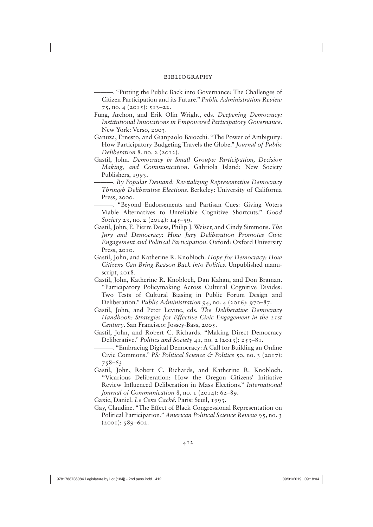- ———. "Putting the Public Back into Governance: The Challenges of Citizen Participation and its Future." *Public Administration Review* 75, no. 4 (2015): 513–22.
- Fung, Archon, and Erik Olin Wright, eds. *Deepening Democracy: Institutional Innovations in Empowered Participatory Governance*. New York: Verso, 2003.
- Ganuza, Ernesto, and Gianpaolo Baiocchi. "The Power of Ambiguity: How Participatory Budgeting Travels the Globe." *Journal of Public Deliberation* 8, no. 2 (2012).
- Gastil, John. *Democracy in Small Groups: Participation, Decision Making, and Communication*. Gabriola Island: New Society Publishers, 1993.

———. *By Popular Demand: Revitalizing Representative Democracy Through Deliberative Elections*. Berkeley: University of California Press, 2000.

———. "Beyond Endorsements and Partisan Cues: Giving Voters Viable Alternatives to Unreliable Cognitive Shortcuts." *Good Society* 23, no. 2 (2014): 145-59.

- Gastil, John, E. Pierre Deess, Philip J. Weiser, and Cindy Simmons. *The Jury and Democracy: How Jury Deliberation Promotes Civic Engagement and Political Participation*. Oxford: Oxford University Press, 2010.
- Gastil, John, and Katherine R. Knobloch. *Hope for Democracy: How Citizens Can Bring Reason Back into Politics*. Unpublished manuscript, 2018.
- Gastil, John, Katherine R. Knobloch, Dan Kahan, and Don Braman. "Participatory Policymaking Across Cultural Cognitive Divides: Two Tests of Cultural Biasing in Public Forum Design and Deliberation." *Public Administration* 94, no. 4 (2016): 970–87.
- Gastil, John, and Peter Levine, eds. *The Deliberative Democracy Handbook: Strategies for Effective Civic Engagement in the 21st Century*. San Francisco: Jossey-Bass, 2005.
- Gastil, John, and Robert C. Richards. "Making Direct Democracy Deliberative." *Politics and Society* 41, no. 2 (2013): 253–81.
- ———. "Embracing Digital Democracy: A Call for Building an Online Civic Commons." *PS: Political Science & Politics* 50, no. 3 (2017): 758–63.
- Gastil, John, Robert C. Richards, and Katherine R. Knobloch. "Vicarious Deliberation: How the Oregon Citizens' Initiative Review Influenced Deliberation in Mass Elections." *International Journal of Communication* 8, no. 1 (2014): 62–89.

Gaxie, Daniel. *Le Cens Caché*. Paris: Seuil, 1993.

Gay, Claudine. "The Effect of Black Congressional Representation on Political Participation." *American Political Science Review* 95, no. 3 (2001): 589–602.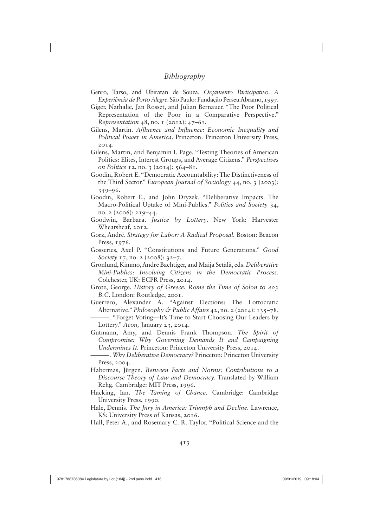- Genro, Tarso, and Ubiratan de Souza. *Orçamento Participativo. A Experiência de Porto Alegre*. São Paulo: Fundação Perseu Abramo, 1997.
- Giger, Nathalie, Jan Rosset, and Julian Bernauer. "The Poor Political Representation of the Poor in a Comparative Perspective." *Representation* 48, no. 1 (2012): 47–61.
- Gilens, Martin. *Affluence and Influence: Economic Inequality and Political Power in America*. Princeton: Princeton University Press, 2014.
- Gilens, Martin, and Benjamin I. Page. "Testing Theories of American Politics: Elites, Interest Groups, and Average Citizens." *Perspectives on Politics* 12, no. 3 (2014): 564–81.
- Goodin, Robert E. "Democratic Accountability: The Distinctiveness of the Third Sector." *European Journal of Sociology* 44, no. 3 (2003): 359–96.
- Goodin, Robert E., and John Dryzek. "Deliberative Impacts: The Macro-Political Uptake of Mini-Publics." *Politics and Society* 34, no. 2 (2006): 219–44.
- Goodwin, Barbara. *Justice by Lottery*. New York: Harvester Wheatsheaf, 2012.
- Gorz, André. *Strategy for Labor: A Radical Proposal.* Boston: Beacon Press, 1976.
- Gosseries, Axel P. "Constitutions and Future Generations." *Good Society* 17, no. 2 (2008): 32–7.
- Gronlund, Kimmo, Andre Bachtiger, and Maija Setälä, eds. *Deliberative Mini-Publics: Involving Citizens in the Democratic Process.* Colchester, UK: ECPR Press, 2014.
- Grote, George. *History of Greece: Rome the Time of Solon to 403 B.C.* London: Routledge, 2001.
- Guerrero, Alexander A. "Against Elections: The Lottocratic Alternative." *Philosophy & Public Affairs* 42, no. 2 (2014): 135–78. ———. "Forget Voting—It's Time to Start Choosing Our Leaders by
- Lottery." *Aeon,* January 23, 2014.
- Gutmann, Amy, and Dennis Frank Thompson. *The Spirit of Compromise: Why Governing Demands It and Campaigning Undermines It.* Princeton: Princeton University Press, 2014.
- ———. *Why Deliberative Democracy?* Princeton: Princeton University Press, 2004.
- Habermas, Jürgen. *Between Facts and Norms: Contributions to a Discourse Theory of Law and Democracy*. Translated by William Rehg. Cambridge: MIT Press, 1996.
- Hacking, Ian. *The Taming of Chance.* Cambridge: Cambridge University Press, 1990.
- Hale, Dennis. *The Jury in America: Triumph and Decline.* Lawrence, KS: University Press of Kansas, 2016.

Hall, Peter A., and Rosemary C. R. Taylor. "Political Science and the

9781788736084 Legislature by Lot (184j) - 2nd pass.indd 413 09/01/2019 09:18:04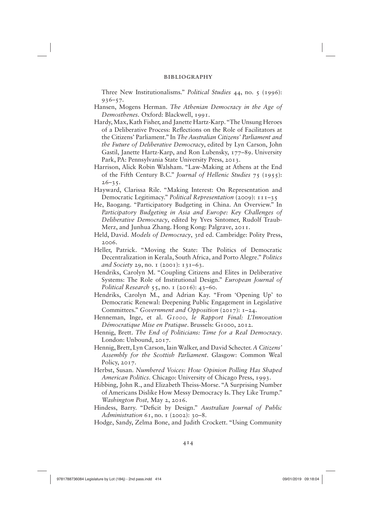Three New Institutionalisms." *Political Studies* 44, no. 5 (1996): 936–57.

- Hansen, Mogens Herman. *The Athenian Democracy in the Age of Demosthenes.* Oxford: Blackwell, 1991.
- Hardy, Max, Kath Fisher, and Janette Hartz-Karp. "The Unsung Heroes of a Deliberative Process: Reflections on the Role of Facilitators at the Citizens' Parliament." In *The Australian Citizens' Parliament and the Future of Deliberative Democracy*, edited by Lyn Carson, John Gastil, Janette Hartz-Karp, and Ron Lubensky, 177–89. University Park, PA: Pennsylvania State University Press, 2013.
- Harrison, Alick Robin Walsham. "Law-Making at Athens at the End of the Fifth Century B.C." *Journal of Hellenic Studies* 75 (1955):  $26 - 35.$
- Hayward, Clarissa Rile. "Making Interest: On Representation and Democratic Legitimacy." *Political Representation* (2009): 111–35
- He, Baogang. "Participatory Budgeting in China. An Overview." In *Participatory Budgeting in Asia and Europe: Key Challenges of Deliberative Democracy*, edited by Yves Sintomer, Rudolf Traub-Merz, and Junhua Zhang. Hong Kong: Palgrave, 2011.
- Held, David. *Models of Democracy*, 3rd ed. Cambridge: Polity Press, 2006.
- Heller, Patrick. "Moving the State: The Politics of Democratic Decentralization in Kerala, South Africa, and Porto Alegre." *Politics and Society* 29, no. 1 (2001): 131–63.
- Hendriks, Carolyn M. "Coupling Citizens and Elites in Deliberative Systems: The Role of Institutional Design." *European Journal of Political Research* 55, no. 1 (2016): 43–60.
- Hendriks, Carolyn M., and Adrian Kay. "From 'Opening Up' to Democratic Renewal: Deepening Public Engagement in Legislative Committees." *Government and Opposition* (2017): 1–24.
- Henneman, Inge, et al. *G1000, le Rapport Final: L'Innovation Démocratique Mise en Pratique*. Brussels: G1000, 2012.
- Hennig, Brett. *The End of Politicians: Time for a Real Democracy*. London: Unbound, 2017.
- Hennig, Brett, Lyn Carson, Iain Walker, and David Schecter. *A Citizens' Assembly for the Scottish Parliament*. Glasgow: Common Weal Policy, 2017.
- Herbst, Susan. *Numbered Voices: How Opinion Polling Has Shaped American Politics.* Chicago: University of Chicago Press, 1993.

Hibbing, John R., and Elizabeth Theiss-Morse. "A Surprising Number of Americans Dislike How Messy Democracy Is. They Like Trump." *Washington Post,* May 2, 2016.

Hindess, Barry. "Deficit by Design." Australian Journal of Public *Administration* 61, no. 1 (2002): 30-8.

Hodge, Sandy, Zelma Bone, and Judith Crockett. "Using Community

9781788736084 Legislature by Lot (184j) - 2nd pass.indd 414 09/01/2019 09:18:04 09/01/2019 09:18:04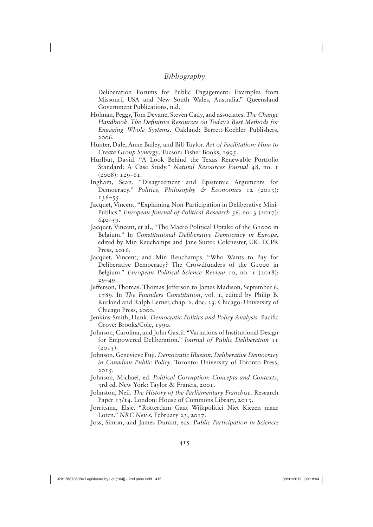Deliberation Forums for Public Engagement: Examples from Missouri, USA and New South Wales, Australia." Queensland Government Publications, n.d.

- Holman, Peggy, Tom Devane, Steven Cady, and associates. *The Change Handbook. The Definitive Resources on Today's Best Methods for Engaging Whole Systems*. Oakland: Berrett-Koehler Publishers, 2006.
- Hunter, Dale, Anne Bailey, and Bill Taylor. *Art of Facilitation: How to Create Group Synergy*. Tucson: Fisher Books, 1995.
- Hurlbut, David. "A Look Behind the Texas Renewable Portfolio Standard: A Case Study." *Natural Resources Journal* 48, no. 1  $(2008): 129 - 61.$
- Ingham, Sean. "Disagreement and Epistemic Arguments for Democracy." *Politics, Philosophy & Economics* 12 (2013):  $136 - 55$ .
- Jacquet, Vincent. "Explaining Non-Participation in Deliberative Mini-Publics." *European Journal of Political Research* 56, no. 3 (2017): 640–59.
- Jacquet, Vincent, et al., "The Macro Political Uptake of the G1000 in Belgium." In *Constitutional Deliberative Democracy in Europe*, edited by Min Reuchamps and Jane Suiter. Colchester, UK: ECPR Press, 2016.
- Jacquet, Vincent, and Min Reuchamps. "Who Wants to Pay for Deliberative Democracy? The Crowdfunders of the G1000 in Belgium." *European Political Science Review* 10, no. 1 (2018):  $29 - 49.$
- Jefferson, Thomas. Thomas Jefferson to James Madison, September 6, 1789. In *The Founders Constitution*, vol. 1, edited by Philip B. Kurland and Ralph Lerner, chap. 2, doc. 23. Chicago: University of Chicago Press, 2000.
- Jenkins-Smith, Hank. *Democratic Politics and Policy Analysis*. Pacific Grove: Brooks/Cole, 1990.
- Johnson, Carolina, and John Gastil. "Variations of Institutional Design for Empowered Deliberation." *Journal of Public Deliberation* 11  $(2015)$ .
- Johnson, Genevieve Fuji. *Democratic Illusion: Deliberative Democracy in Canadian Public Policy*. Toronto: University of Toronto Press, 2015.
- Johnson, Michael, ed. *Political Corruption: Concepts and Contexts*, 3rd ed*.* New York: Taylor & Francis, 2001.
- Johnston, Neil. *The History of the Parliamentary Franchise.* Research Paper 13/14. London: House of Commons Library, 2013.
- Jorritsma, Elsje. "Rotterdam Gaat Wijkpolitici Niet Kiezen maar Loten." *NRC News*, February 23, 2017.

Joss, Simon, and James Durant, eds. *Public Participation in Science:*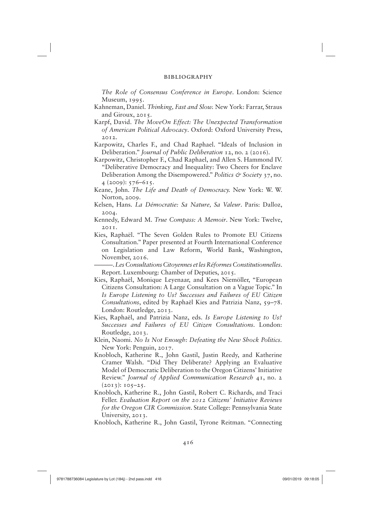*The Role of Consensus Conference in Europe*. London: Science Museum, 1995.

- Kahneman, Daniel. *Thinking, Fast and Slow.* New York: Farrar, Straus and Giroux, 2015.
- Karpf, David. *The MoveOn Effect: The Unexpected Transformation of American Political Advocacy*. Oxford: Oxford University Press, 2012.
- Karpowitz, Charles F., and Chad Raphael. "Ideals of Inclusion in Deliberation." *Journal of Public Deliberation* 12, no. 2 (2016).
- Karpowitz, Christopher F., Chad Raphael, and Allen S. Hammond IV. "Deliberative Democracy and Inequality: Two Cheers for Enclave Deliberation Among the Disempowered." *Politics & Society* 37, no.  $4$  (2009):  $576 - 615$ .
- Keane, John. *The Life and Death of Democracy.* New York: W. W. Norton, 2009.
- Kelsen, Hans. *La Démocratie: Sa Nature, Sa Valeur*. Paris: Dalloz, 2004.
- Kennedy, Edward M. *True Compass: A Memoir*. New York: Twelve, 2011.
- Kies, Raphaël. "The Seven Golden Rules to Promote EU Citizens Consultation." Paper presented at Fourth International Conference on Legislation and Law Reform, World Bank, Washington, November, 2016.

———. *Les Consultations Citoyennes et les Réformes Constitutionnelles*. Report. Luxembourg: Chamber of Deputies, 2015.

- Kies, Raphaël, Monique Leyenaar, and Kees Niemöller, "European Citizens Consultation: A Large Consultation on a Vague Topic." In *Is Europe Listening to Us? Successes and Failures of EU Citizen Consultations*, edited by Raphaël Kies and Patrizia Nanz, 59–78. London: Routledge, 2013.
- Kies, Raphaël, and Patrizia Nanz, eds. *Is Europe Listening to Us? Successes and Failures of EU Citizen Consultations.* London: Routledge, 2013.
- Klein, Naomi. *No Is Not Enough: Defeating the New Shock Politics.* New York: Penguin, 2017.
- Knobloch, Katherine R., John Gastil, Justin Reedy, and Katherine Cramer Walsh. "Did They Deliberate? Applying an Evaluative Model of Democratic Deliberation to the Oregon Citizens' Initiative Review." *Journal of Applied Communication Research* 41, no. 2  $(2013): 105-25.$
- Knobloch, Katherine R., John Gastil, Robert C. Richards, and Traci Feller. *Evaluation Report on the 2012 Citizens' Initiative Reviews for the Oregon CIR Commission*. State College: Pennsylvania State University, 2013.

Knobloch, Katherine R., John Gastil, Tyrone Reitman. "Connecting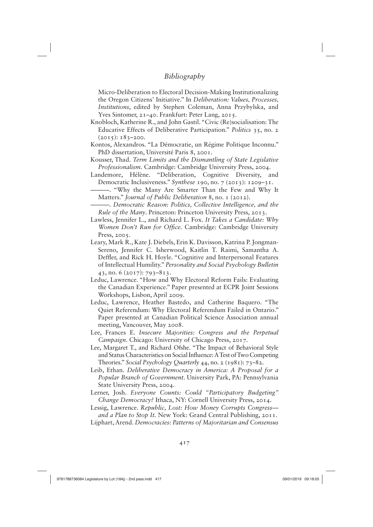Micro-Deliberation to Electoral Decision-Making Institutionalizing the Oregon Citizens' Initiative." In *Deliberation: Values, Processes, Institutions*, edited by Stephen Coleman, Anna Przybylska, and Yves Sintomer, 21–40. Frankfurt: Peter Lang, 2015.

- Knobloch, Katherine R., and John Gastil. "Civic (Re)socialisation: The Educative Effects of Deliberative Participation." *Politics* 35, no. 2  $(2015): 183 - 200.$
- Kontos, Alexandros. "La Démocratie, un Régime Politique Inconnu." PhD dissertation, Université Paris 8, 2001.
- Kousser, Thad. *Term Limits and the Dismantling of State Legislative Professionalism.* Cambridge: Cambridge University Press, 2004.
- Landemore, Hélène. "Deliberation, Cognitive Diversity, and Democratic Inclusiveness." *Synthese* 190, no. 7 (2013): 1209–31.
- ———. "Why the Many Are Smarter Than the Few and Why It Matters." *Journal of Public Deliberation* 8, no. 1 (2012).
- ———. *Democratic Reason: Politics, Collective Intelligence, and the Rule of the Many*. Princeton: Princeton University Press, 2013.
- Lawless, Jennifer L., and Richard L. Fox. *It Takes a Candidate: Why Women Don't Run for Office. Cambridge: Cambridge University* Press, 2005.
- Leary, Mark R., Kate J. Diebels, Erin K. Davisson, Katrina P. Jongman-Sereno, Jennifer C. Isherwood, Kaitlin T. Raimi, Samantha A. Deffler, and Rick H. Hoyle. "Cognitive and Interpersonal Features of Intellectual Humility." *Personality and Social Psychology Bulletin* 43, no. 6 (2017): 793–813.
- Leduc, Lawrence. "How and Why Electoral Reform Fails: Evaluating the Canadian Experience." Paper presented at ECPR Joint Sessions Workshops, Lisbon, April 2009.
- Leduc, Lawrence, Heather Bastedo, and Catherine Baquero. "The Quiet Referendum: Why Electoral Referendum Failed in Ontario." Paper presented at Canadian Political Science Association annual meeting, Vancouver, May 2008.
- Lee, Frances E. *Insecure Majorities: Congress and the Perpetual Campaign*. Chicago: University of Chicago Press, 2017.
- Lee, Margaret T., and Richard Ofshe. "The Impact of Behavioral Style and Status Characteristics on Social Influence: A Test of Two Competing Theories." *Social Psychology Quarterly* 44, no. 2 (1981): 73–82.
- Leib, Ethan. *Deliberative Democracy in America: A Proposal for a Popular Branch of Government*. University Park, PA: Pennsylvania State University Press, 2004.
- Lerner, Josh. *Everyone Counts: Could "Participatory Budgeting" Change Democracy?* Ithaca, NY: Cornell University Press, 2014.
- Lessig, Lawrence. *Republic, Lost: How Money Corrupts Congress and a Plan to Stop It.* New York: Grand Central Publishing, 2011.

Lijphart, Arend. *Democracies: Patterns of Majoritarian and Consensus*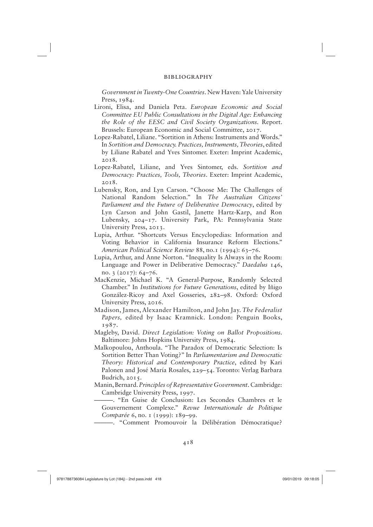*Government in Twenty-One Countries*. New Haven: Yale University Press, 1984.

- Lironi, Elisa, and Daniela Peta. *European Economic and Social Committee EU Public Consultations in the Digital Age: Enhancing the Role of the EESC and Civil Society Organizations.* Report. Brussels: European Economic and Social Committee, 2017.
- Lopez-Rabatel, Liliane. "Sortition in Athens: Instruments and Words." In *Sortition and Democracy. Practices, Instruments, Theories*, edited by Liliane Rabatel and Yves Sintomer. Exeter: Imprint Academic, 2018.
- Lopez-Rabatel, Liliane, and Yves Sintomer, eds. *Sortition and Democracy: Practices, Tools, Theories*. Exeter: Imprint Academic, 2018.
- Lubensky, Ron, and Lyn Carson. "Choose Me: The Challenges of National Random Selection." In *The Australian Citizens' Parliament and the Future of Deliberative Democracy*, edited by Lyn Carson and John Gastil, Janette Hartz-Karp, and Ron Lubensky, 204–17. University Park, PA: Pennsylvania State University Press, 2013.
- Lupia, Arthur. "Shortcuts Versus Encyclopedias: Information and Voting Behavior in California Insurance Reform Elections." *American Political Science Review* 88, no.1 (1994): 63–76.
- Lupia, Arthur, and Anne Norton. "Inequality Is Always in the Room: Language and Power in Deliberative Democracy." *Daedalus* 146, no. 3 (2017): 64–76.
- MacKenzie, Michael K. "A General-Purpose, Randomly Selected Chamber." In *Institutions for Future Generations*, edited by Iñigo González-Ricoy and Axel Gosseries, 282–98. Oxford: Oxford University Press, 2016.
- Madison, James, Alexander Hamilton, and John Jay. *The Federalist Papers,* edited by Isaac Kramnick. London: Penguin Books, 1987.
- Magleby, David. *Direct Legislation: Voting on Ballot Propositions.*  Baltimore: Johns Hopkins University Press, 1984.
- Malkopoulou, Anthoula. "The Paradox of Democratic Selection: Is Sortition Better Than Voting?" In *Parliamentarism and Democratic Theory: Historical and Contemporary Practice*, edited by Kari Palonen and José María Rosales, 229–54. Toronto: Verlag Barbara Budrich, 2015.
- Manin, Bernard. *Principles of Representative Government*. Cambridge: Cambridge University Press, 1997.
	- ———. "En Guise de Conclusion: Les Secondes Chambres et le Gouvernement Complexe." *Revue Internationale de Politique Comparée* 6, no. 1 (1999): 189–99.

———. "Comment Promouvoir la Délibération Démocratique?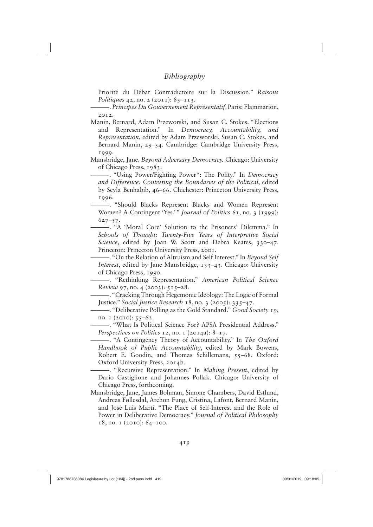Priorité du Débat Contradictoire sur la Discussion." *Raisons Politiques* 42, no. 2 (2011): 83–113.

———. *Principes Du Gouvernement Représentatif*. Paris: Flammarion,  $2.012$ 

- Manin, Bernard, Adam Przeworski, and Susan C. Stokes. "Elections and Representation." In *Democracy, Accountability, and Representation*, edited by Adam Przeworski, Susan C. Stokes, and Bernard Manin, 29–54. Cambridge: Cambridge University Press, 1999.
- Mansbridge, Jane. *Beyond Adversary Democracy.* Chicago: University of Chicago Press, 1983.
- ———. "Using Power/Fighting Power\*: The Polity." In *Democracy and Difference: Contesting the Boundaries of the Political*, edited by Seyla Benhabib, 46–66. Chichester: Princeton University Press, 1996.
- ———. "Should Blacks Represent Blacks and Women Represent Women? A Contingent 'Yes.' " *Journal of Politics* 61, no. 3 (1999): 627–57.
- ———. "A 'Moral Core' Solution to the Prisoners' Dilemma." In *Schools of Thought: Twenty-Five Years of Interpretive Social Science*, edited by Joan W. Scott and Debra Keates, 330–47. Princeton: Princeton University Press, 2001.

———. "On the Relation of Altruism and Self Interest." In *Beyond Self Interest*, edited by Jane Mansbridge, 133–43. Chicago: University of Chicago Press, 1990.

———. "Rethinking Representation." *American Political Science Review* 97, no. 4 (2003): 515–28.

———. "Cracking Through Hegemonic Ideology: The Logic of Formal Justice." *Social Justice Research* 18, no. 3 (2005): 335–47.

- ———. "Deliberative Polling as the Gold Standard." *Good Society* 19, no. 1 (2010): 55–62.
- ———. "What Is Political Science For? APSA Presidential Address." *Perspectives on Politics* 12, no. 1 (2014a): 8–17.

———. "A Contingency Theory of Accountability." In *The Oxford Handbook of Public Accountability*, edited by Mark Bowens, Robert E. Goodin, and Thomas Schillemans, 55-68. Oxford: Oxford University Press, 2014b.

———. "Recursive Representation." In *Making Present*, edited by Dario Castiglione and Johannes Pollak. Chicago: University of Chicago Press, forthcoming.

Mansbridge, Jane, James Bohman, Simone Chambers, David Estlund, Andreas Føllesdal, Archon Fung, Cristina, Lafont, Bernard Manin, and José Luis Martí. "The Place of Self-Interest and the Role of Power in Deliberative Democracy." *Journal of Political Philosophy* 18, no. 1 (2010): 64–100.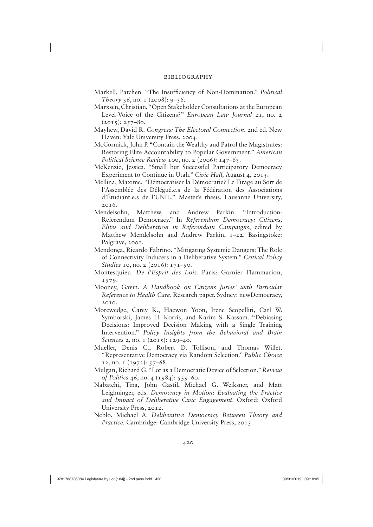- Markell, Patchen. "The Insufficiency of Non-Domination." Political *Theory* 36, no. 1 (2008): 9-36.
- Marxsen, Christian, "Open Stakeholder Consultations at the European Level-Voice of the Citizens?" *European Law Journal* 21, no. 2  $(2015): 257 - 80.$
- Mayhew, David R. *Congress: The Electoral Connection*. 2nd ed. New Haven: Yale University Press, 2004.
- McCormick, John P. "Contain the Wealthy and Patrol the Magistrates: Restoring Elite Accountability to Popular Government." *American Political Science Review* 100, no. 2 (2006): 147–63.
- McKenzie, Jessica. "Small but Successful Participatory Democracy Experiment to Continue in Utah." *Civic Hall,* August 4, 2015.
- Mellina, Maxime. "Démocratiser la Démocratie? Le Tirage au Sort de l'Assemblée des Délégué.e.s de la Fédération des Associations d'Étudiant.e.s de l'UNIL." Master's thesis, Lausanne University, 2016.
- Mendelsohn, Matthew, and Andrew Parkin. "Introduction: Referendum Democracy." In *Referendum Democracy: Citizens, Elites and Deliberation in Referendum Campaigns*, edited by Matthew Mendelsohn and Andrew Parkin, 1-22. Basingstoke: Palgrave, 2001.
- Mendonça, Ricardo Fabrino. "Mitigating Systemic Dangers: The Role of Connectivity Inducers in a Deliberative System." *Critical Policy Studies* 10, no. 2 (2016): 171-90.
- Montesquieu. *De l'Esprit des Lois*. Paris: Garnier Flammarion, 1979.
- Mooney, Gavin. *A Handbook on Citizens Juries' with Particular Reference to Health Care*. Research paper. Sydney: newDemocracy, 2010.
- Morewedge, Carey K., Haewon Yoon, Irene Scopelliti, Carl W. Symborski, James H. Korris, and Karim S. Kassam. "Debiasing Decisions: Improved Decision Making with a Single Training Intervention." *Policy Insights from the Behavioral and Brain Sciences* 2, no. 1 (2015): 129-40.
- Mueller, Denis C., Robert D. Tollison, and Thomas Willet. "Representative Democracy via Random Selection." *Public Choice* 12, no. 1 (1972):  $57-68$ .
- Mulgan, Richard G. "Lot as a Democratic Device of Selection." *Review of Politics* 46, no. 4 (1984): 539–60.
- Nabatchi, Tina, John Gastil, Michael G. Weiksner, and Matt Leighninger, eds. *Democracy in Motion: Evaluating the Practice and Impact of Deliberative Civic Engagement*. Oxford: Oxford University Press, 2012.
- Neblo, Michael A. *Deliberative Democracy Between Theory and Practice.* Cambridge: Cambridge University Press, 2015.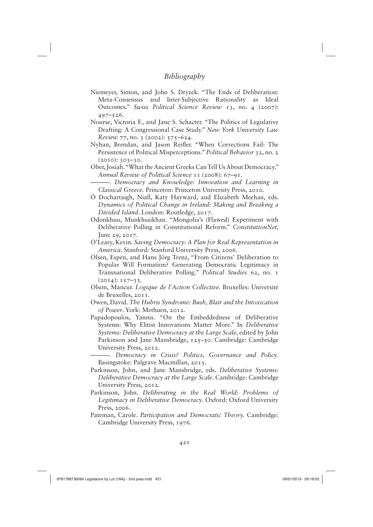- Niemeyer, Simon, and John S. Dryzek. "The Ends of Deliberation: Meta-Consensus and Inter-Subjective Rationality as Ideal Outcomes." *Swiss Political Science Review* 13, no. 4 (2007): 497–526.
- Nourse, Victoria F., and Jane S. Schacter. "The Politics of Legislative Drafting: A Congressional Case Study." *New York University Law Review* 77, no. 3 (2002): 575–624.
- Nyhan, Brendan, and Jason Reifler. "When Corrections Fail: The Persistence of Political Misperceptions." *Political Behavior* 32, no. 2 (2010): 303–30.
- Ober, Josiah. "What the Ancient Greeks Can Tell Us About Democracy." *Annual Review of Political Science* 11 (2008): 67–91.
- ———. *Democracy and Knowledge: Innovation and Learning in Classical Greece.* Princeton: Princeton University Press, 2010.
- Ó Dochartaigh, Niall, Katy Hayward, and Elizabeth Meehan, eds. *Dynamics of Political Change in Ireland: Making and Breaking a Divided Island*. London: Routledge, 2017.
- Odonkhuu, Munkhsaikhan. "Mongolia's (Flawed) Experiment with Deliberative Polling in Constitutional Reform." *ConstitutionNet,*  June 29, 2017.
- O'Leary, Kevin. *Saving Democracy: A Plan for Real Representation in America*. Stanford: Stanford University Press, 2006.
- Olsen, Espen, and Hans Jörg Trenz, "From Citizens' Deliberation to Popular Will Formation? Generating Democratic Legitimacy in Transnational Deliberative Polling." *Political Studies* 62, no. 1  $(2014): 117-33.$
- Olson, Mancur. *Logique de l'Action Collective*. Bruxelles: Université de Bruxelles, 2011.
- Owen, David. *The Hubris Syndrome: Bush, Blair and the Intoxication of Power*. York: Methuen, 2012.
- Papadopoulos, Yannis. "On the Embeddedness of Deliberative Systems: Why Elitist Innovations Matter More." In *Deliberative Systems: Deliberative Democracy at the Large Scale*, edited by John Parkinson and Jane Mansbridge, 125-50. Cambridge: Cambridge University Press, 2012.
- ———. *Democracy in Crisis? Politics, Governance and Policy*. Basingstoke: Palgrave Macmillan, 2013.
- Parkinson, John, and Jane Mansbridge, eds. *Deliberative Systems: Deliberative Democracy at the Large Scale*. Cambridge: Cambridge University Press, 2012.
- Parkinson, John. *Deliberating in the Real World: Problems of Legitimacy in Deliberative Democracy*. Oxford: Oxford University Press, 2006.
- Pateman, Carole. *Participation and Democratic Theory.* Cambridge: Cambridge University Press, 1976.

9781788736084 Legislature by Lot (184j) - 2nd pass.indd 421 09/01/2019 09:18:05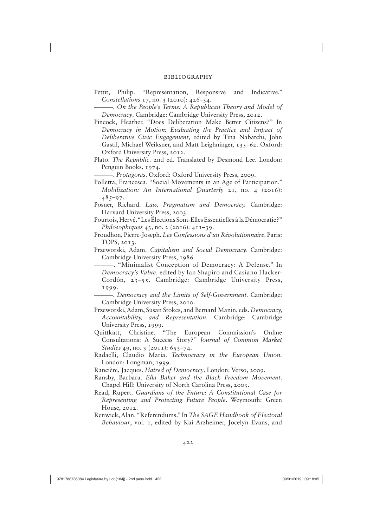Pettit, Philip. "Representation, Responsive and Indicative." *Constellations* 17, no. 3 (2010): 426–34.

———. *On the People's Terms: A Republican Theory and Model of Democracy*. Cambridge: Cambridge University Press, 2012.

- Pincock, Heather. "Does Deliberation Make Better Citizens?" In *Democracy in Motion: Evaluating the Practice and Impact of Deliberative Civic Engagement*, edited by Tina Nabatchi, John Gastil, Michael Weiksner, and Matt Leighninger, 135–62. Oxford: Oxford University Press, 2012.
- Plato. *The Republic*. 2nd ed. Translated by Desmond Lee. London: Penguin Books, 1974.

———. *Protagoras*. Oxford: Oxford University Press, 2009.

- Polletta, Francesca. "Social Movements in an Age of Participation." *Mobilization: An International Quarterly* 21, no. 4 (2016):  $485 - 97$
- Posner, Richard. *Law, Pragmatism and Democracy.* Cambridge: Harvard University Press, 2003.
- Pourtois, Hervé. "Les Élections Sont-Elles Essentielles à la Démocratie?" *Philosophiques* 43, no. 2 (2016): 411–39.
- Proudhon, Pierre-Joseph. *Les Confessions d'un Révolutionnaire*. Paris: TOPS, 2013.
- Przeworski, Adam. *Capitalism and Social Democracy.* Cambridge: Cambridge University Press, 1986*.*
- ———. "Minimalist Conception of Democracy: A Defense." In *Democracy's Value,* edited by Ian Shapiro and Casiano Hacker-Cordón, 23–55. Cambridge: Cambridge University Press, 1999.

———. *Democracy and the Limits of Self-Government.* Cambridge: Cambridge University Press, 2010.

- Przeworski, Adam, Susan Stokes, and Bernard Manin, eds. *Democracy, Accountability, and Representation*. Cambridge: Cambridge University Press, 1999.
- Quittkatt, Christine. "The European Commission's Online Consultations: A Success Story?" *Journal of Common Market Studies* 49, no. 3 (2011): 653-74.
- Radaelli, Claudio Maria. *Technocracy in the European Union.* London: Longman, 1999.

Rancière, Jacques. *Hatred of Democracy*. London: Verso, 2009.

- Ransby, Barbara. *Ella Baker and the Black Freedom Movement*. Chapel Hill: University of North Carolina Press, 2003.
- Read, Rupert. *Guardians of the Future: A Constitutional Case for Representing and Protecting Future People*. Weymouth: Green House, 2012.

Renwick, Alan. "Referendums." In *The SAGE Handbook of Electoral Behaviour*, vol. 1, edited by Kai Arzheimer, Jocelyn Evans, and

9781788736084 Legislature by Lot (184j) - 2nd pass.indd 422 09/01/2019 09:18:05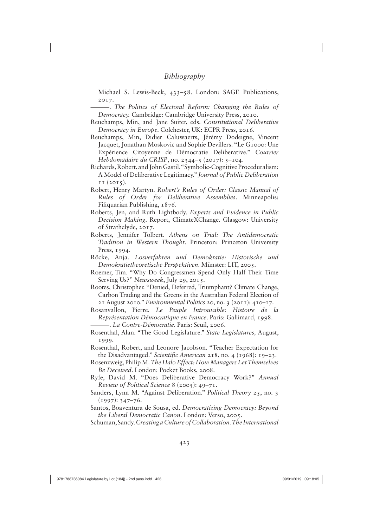Michael S. Lewis-Beck, 433–58. London: SAGE Publications, 2017.

———. *The Politics of Electoral Reform: Changing the Rules of Democracy.* Cambridge: Cambridge University Press, 2010.

- Reuchamps, Min, and Jane Suiter, eds. *Constitutional Deliberative Democracy in Europe*. Colchester, UK: ECPR Press, 2016.
- Reuchamps, Min, Didier Caluwaerts, Jérémy Dodeigne, Vincent Jacquet, Jonathan Moskovic and Sophie Devillers. "Le G1000: Une Expérience Citoyenne de Démocratie Deliberative." *Courrier Hebdomadaire du CRISP*, no. 2344–5 (2017): 5–104.
- Richards, Robert, and John Gastil. "Symbolic-Cognitive Proceduralism: A Model of Deliberative Legitimacy." *Journal of Public Deliberation* 11 (2015).
- Robert, Henry Martyn. *Robert's Rules of Order: Classic Manual of Rules of Order for Deliberative Assemblies*. Minneapolis: Filiquarian Publishing, 1876.
- Roberts, Jen, and Ruth Lightbody. *Experts and Evidence in Public Decision Making*. Report, ClimateXChange. Glasgow: University of Strathclyde, 2017.
- Roberts, Jennifer Tolbert. *Athens on Trial: The Antidemocratic Tradition in Western Thought.* Princeton: Princeton University Press, 1994.
- Röcke, Anja. *Losverfahren und Demokratie: Historische und Demokratietheoretische Perspektiven*. Münster: LIT, 2005.
- Roemer, Tim. "Why Do Congressmen Spend Only Half Their Time Serving Us?" *Newsweek*, July 29, 2015.
- Rootes, Christopher. "Denied, Deferred, Triumphant? Climate Change, Carbon Trading and the Greens in the Australian Federal Election of 21 August 2010." *Environmental Politics* 20, no. 3 (2011): 410–17.

Rosanvallon, Pierre. *Le Peuple Introuvable: Histoire de la Représentation Démocratique en France*. Paris: Gallimard, 1998. ———. *La Contre-Démocratie*. Paris: Seuil, 2006.

- Rosenthal, Alan. "The Good Legislature." *State Legislatures,* August, 1999.
- Rosenthal, Robert, and Leonore Jacobson. "Teacher Expectation for the Disadvantaged." *Scientific American* 218, no. 4 (1968): 19-23.

Rosenzweig, Philip M. *The Halo Effect: How Managers Let Themselves Be Deceived*. London: Pocket Books, 2008.

- Ryfe, David M. "Does Deliberative Democracy Work?" *Annual Review of Political Science* 8 (2005): 49–71.
- Sanders, Lynn M. "Against Deliberation." *Political Theory* 25, no. 3 (1997): 347–76.

Santos, Boaventura de Sousa, ed. *Democratizing Democracy: Beyond the Liberal Democratic Canon*. London: Verso, 2005.

Schuman, Sandy. *Creating a Culture of Collaboration. The International* 

9781788736084 Legislature by Lot (184j) - 2nd pass.indd 423 09/01/2019 09:18:05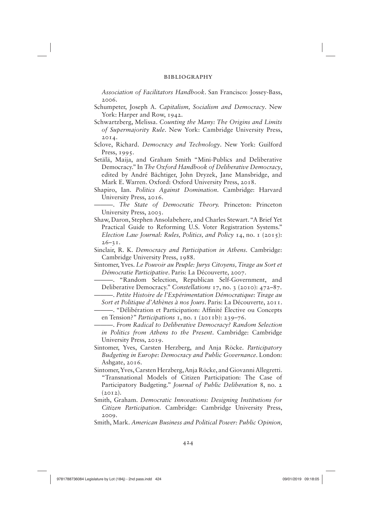*Association of Facilitators Handbook*. San Francisco: Jossey-Bass, 2006.

- Schumpeter, Joseph A. *Capitalism, Socialism and Democracy*. New York: Harper and Row, 1942.
- Schwartzberg, Melissa. *Counting the Many: The Origins and Limits of Supermajority Rule*. New York: Cambridge University Press, 2014.
- Sclove, Richard. *Democracy and Technology*. New York: Guilford Press, 1995.
- Setälä, Maija, and Graham Smith "Mini-Publics and Deliberative Democracy." In *The Oxford Handbook of Deliberative Democracy*, edited by André Bächtiger, John Dryzek, Jane Mansbridge, and Mark E. Warren. Oxford: Oxford University Press, 2018.
- Shapiro, Ian. *Politics Against Domination*. Cambridge: Harvard University Press, 2016.

———. *The State of Democratic Theory.* Princeton: Princeton University Press, 2003.

- Shaw, Daron, Stephen Ansolabehere, and Charles Stewart. "A Brief Yet Practical Guide to Reforming U.S. Voter Registration Systems." *Election Law Journal: Rules, Politics, and Policy* 14, no. 1 (2015):  $26 - 31.$
- Sinclair, R. K. *Democracy and Participation in Athens.* Cambridge: Cambridge University Press, 1988.
- Sintomer, Yves. *Le Pouvoir au Peuple: Jurys Citoyens, Tirage au Sort et Démocratie Participative*. Paris: La Découverte, 2007.
- ———. "Random Selection, Republican Self-Government, and Deliberative Democracy." *Constellations* 17, no. 3 (2010): 472–87.
- ———. *Petite Histoire de l'Expérimentation Démocratique: Tirage au*
- *Sort et Politique d'Athènes à nos Jours*. Paris: La Découverte, 2011. —. "Délibération et Participation: Affinité Élective ou Concepts en Tension?" *Participations* 1, no. 1 (2011b): 239–76.
- ———. *From Radical to Deliberative Democracy? Random Selection in Politics from Athens to the Present*. Cambridge: Cambridge University Press, 2019.
- Sintomer, Yves, Carsten Herzberg, and Anja Röcke. *Participatory Budgeting in Europe: Democracy and Public Governance*. London: Ashgate, 2016.
- Sintomer, Yves, Carsten Herzberg, Anja Röcke, and Giovanni Allegretti. "Transnational Models of Citizen Participation: The Case of Participatory Budgeting." *Journal of Public Deliberation* 8, no. 2  $(2012).$
- Smith, Graham. *Democratic Innovations: Designing Institutions for Citizen Participation.* Cambridge: Cambridge University Press, 2009.

Smith, Mark. *American Business and Political Power: Public Opinion,*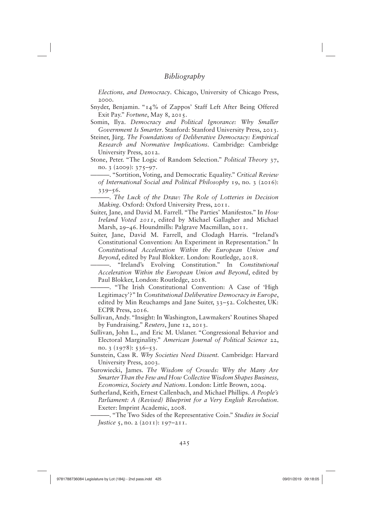*Elections, and Democracy*. Chicago, University of Chicago Press, 2000.

- Snyder, Benjamin. "14% of Zappos' Staff Left After Being Offered Exit Pay." *Fortune*, May 8, 2015.
- Somin, Ilya. *Democracy and Political Ignorance: Why Smaller Government Is Smarter*. Stanford: Stanford University Press, 2013.
- Steiner, Jürg. *The Foundations of Deliberative Democracy: Empirical Research and Normative Implications*. Cambridge: Cambridge University Press, 2012.
- Stone, Peter. "The Logic of Random Selection." *Political Theory* 37, no. 3 (2009): 375–97.
	- ———. "Sortition, Voting, and Democratic Equality." *Critical Review of International Social and Political Philosophy* 19, no. 3 (2016): 339–56.

———. *The Luck of the Draw: The Role of Lotteries in Decision Making*. Oxford: Oxford University Press, 2011.

- Suiter, Jane, and David M. Farrell. "The Parties' Manifestos." In *How Ireland Voted 2011*, edited by Michael Gallagher and Michael Marsh, 29–46. Houndmills: Palgrave Macmillan, 2011.
- Suiter, Jane, David M. Farrell, and Clodagh Harris. "Ireland's Constitutional Convention: An Experiment in Representation." In *Constitutional Acceleration Within the European Union and Beyond*, edited by Paul Blokker*.* London: Routledge, 2018.
- ———. "Ireland's Evolving Constitution." In *Constitutional Acceleration Within the European Union and Beyond*, edited by Paul Blokker, London: Routledge, 2018.
- ———. "The Irish Constitutional Convention: A Case of 'High Legitimacy'?" In *Constitutional Deliberative Democracy in Europe*, edited by Min Reuchamps and Jane Suiter, 33–52. Colchester, UK: ECPR Press, 2016.
- Sullivan, Andy. "Insight: In Washington, Lawmakers' Routines Shaped by Fundraising." *Reuters*, June 12, 2013.
- Sullivan, John L., and Eric M. Uslaner. "Congressional Behavior and Electoral Marginality." *American Journal of Political Science* 22, no. 3 (1978): 536–53.
- Sunstein, Cass R. *Why Societies Need Dissent.* Cambridge: Harvard University Press, 2003.
- Surowiecki, James. *The Wisdom of Crowds: Why the Many Are Smarter Than the Few and How Collective Wisdom Shapes Business, Economics, Society and Nations*. London: Little Brown, 2004.
- Sutherland, Keith, Ernest Callenbach, and Michael Phillips. *A People's Parliament: A (Revised) Blueprint for a Very English Revolution*. Exeter: Imprint Academic, 2008.

———. "The Two Sides of the Representative Coin." *Studies in Social Justice* 5, no. 2 (2011): 197–211.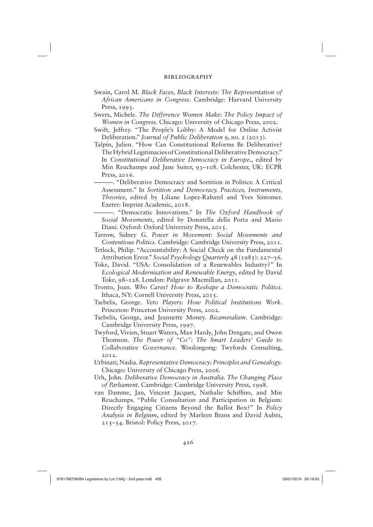- Swain, Carol M. *Black Faces, Black Interests: The Representation of African Americans in Congress*. Cambridge: Harvard University Press, 1993.
- Swers, Michele. *The Difference Women Make: The Policy Impact of Women in Congress*. Chicago: University of Chicago Press, 2002.
- Swift, Jeffrey. "The People's Lobby: A Model for Online Activist Deliberation." *Journal of Public Deliberation* 9, no. 2 (2013).
- Talpin, Julien. "How Can Constitutional Reforms Be Deliberative? The Hybrid Legitimacies of Constitutional Deliberative Democracy." In *Constitutional Deliberative Democracy in Europe*., edited by Min Reuchamps and Jane Suiter, 93–108. Colchester, UK: ECPR Press, 2016.

———. "Deliberative Democracy and Sortition in Politics: A Critical Assessment." In *Sortition and Democracy. Practices, Instruments, Theories*, edited by Liliane Lopez-Rabatel and Yves Sintomer. Exeter: Imprint Academic, 2018.

- ———. "Democratic Innovations." In *The Oxford Handbook of Social Movements*, edited by Donatella della Porta and Mario Diani. Oxford: Oxford University Press, 2015.
- Tarrow, Sidney G. *Power in Movement: Social Movements and Contentious Politics.* Cambridge: Cambridge University Press, 2011.
- Tetlock, Philip. "Accountability: A Social Check on the Fundamental Attribution Error." *Social Psychology Quarterly* 48 (1985): 227–36.
- Toke, David. "USA: Consolidation of a Renewables Industry?" In *Ecological Modernisation and Renewable Energy*, edited by David Toke, 98–128. London: Palgrave Macmillan, 2011.
- Tronto, Joan. *Who Cares? How to Reshape a Democratic Politics*. Ithaca, NY: Cornell University Press, 2015.
- Tsebelis, George. *Veto Players: How Political Institutions Work*. Princeton: Princeton University Press, 2002.
- Tsebelis, George, and Jeannette Money. *Bicameralism*. Cambridge: Cambridge University Press, 1997.
- Twyford, Vivien, Stuart Waters, Max Hardy, John Dengate, and Owen Thomson. *The Power of "Co": The Smart Leaders' Guide to Collaborative Governance*. Woolongong: Twyfords Consulting, 2012.
- Urbinati, Nadia. *Representative Democracy: Principles and Genealogy*. Chicago: University of Chicago Press, 2006.
- Urh, John. *Deliberative Democracy in Australia. The Changing Place of Parliament*. Cambridge: Cambridge University Press, 1998.
- van Damme, Jan, Vincent Jacquet, Nathalie Schiffino, and Min Reuchamps. "Public Consultation and Participation in Belgium: Directly Engaging Citizens Beyond the Ballot Box?" In *Policy Analysis in Belgium*, edited by Marleen Brans and David Aubin, 215–34. Bristol: Policy Press, 2017.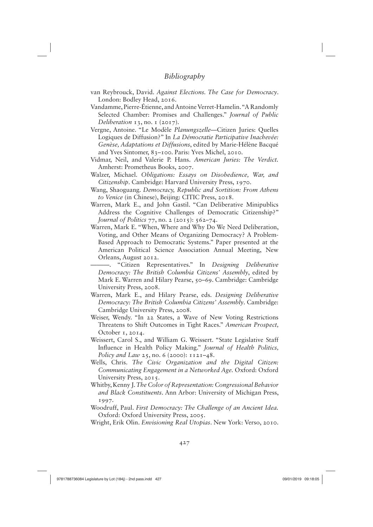- van Reybrouck, David. *Against Elections. The Case for Democracy*. London: Bodley Head, 2016.
- Vandamme, Pierre-Étienne, and Antoine Verret-Hamelin. "A Randomly Selected Chamber: Promises and Challenges." *Journal of Public Deliberation* **13**, no. **1** (2017).
- Vergne, Antoine. "Le Modèle *Planungszelle*—Citizen Juries: Quelles Logiques de Diffusion?" In *La Démocratie Participative Inachevée: Genèse, Adaptations et Diffusions*, edited by Marie-Hélène Bacqué and Yves Sintomer, 83–100. Paris: Yves Michel, 2010.
- Vidmar, Neil, and Valerie P. Hans. *American Juries: The Verdict.* Amherst: Prometheus Books, 2007.
- Walzer, Michael. *Obligations: Essays on Disobedience, War, and Citizenship*. Cambridge: Harvard University Press, 1970.
- Wang, Shaoguang. *Democracy, Republic and Sortition: From Athens to Venice* (in Chinese), Beijing: CITIC Press, 2018.
- Warren, Mark E., and John Gastil. "Can Deliberative Minipublics Address the Cognitive Challenges of Democratic Citizenship?" *Journal of Politics* 77, no. 2 (2015): 562–74.
- Warren, Mark E. "When, Where and Why Do We Need Deliberation, Voting, and Other Means of Organizing Democracy? A Problem-Based Approach to Democratic Systems." Paper presented at the American Political Science Association Annual Meeting, New Orleans, August 2012.
- ———. "Citizen Representatives." In *Designing Deliberative Democracy: The British Columbia Citizens' Assembly*, edited by Mark E. Warren and Hilary Pearse, 50–69. Cambridge: Cambridge University Press, 2008.
- Warren, Mark E., and Hilary Pearse, eds. *Designing Deliberative Democracy: The British Columbia Citizens' Assembly*. Cambridge: Cambridge University Press, 2008.
- Weiser, Wendy. "In 22 States, a Wave of New Voting Restrictions Threatens to Shift Outcomes in Tight Races." *American Prospect,*  October 1, 2014.
- Weissert, Carol S., and William G. Weissert. "State Legislative Staff Influence in Health Policy Making." *Journal of Health Politics*, *Policy and Law 25, no. 6 (2000):*  $1121-48$ *.*
- Wells, Chris. *The Civic Organization and the Digital Citizen: Communicating Engagement in a Networked Age.* Oxford: Oxford University Press, 2015.
- Whitby, Kenny J. *The Color of Representation: Congressional Behavior and Black Constituents*. Ann Arbor: University of Michigan Press, 1997.
- Woodruff, Paul. *First Democracy: The Challenge of an Ancient Idea.* Oxford: Oxford University Press, 2005.
- Wright, Erik Olin. *Envisioning Real Utopias*. New York: Verso, 2010.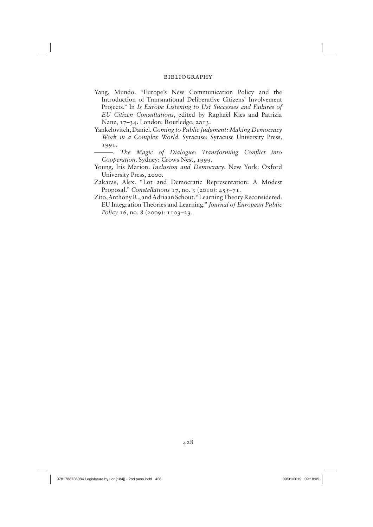- Yang, Mundo. "Europe's New Communication Policy and the Introduction of Transnational Deliberative Citizens' Involvement Projects." In *Is Europe Listening to Us? Successes and Failures of EU Citizen Consultations*, edited by Raphaël Kies and Patrizia Nanz, 17–34. London: Routledge, 2013.
- Yankelovitch, Daniel. *Coming to Public Judgment: Making Democracy Work in a Complex World*. Syracuse: Syracuse University Press, 1991.
- ——. *The Magic of Dialogue: Transforming Conflict into Cooperation*. Sydney: Crows Nest, 1999.
- Young, Iris Marion. *Inclusion and Democracy*. New York: Oxford University Press, 2000.
- Zakaras, Alex. "Lot and Democratic Representation: A Modest Proposal." *Constellations* 17, no. 3 (2010): 455–71.
- Zito, Anthony R., and Adriaan Schout. "Learning Theory Reconsidered: EU Integration Theories and Learning." *Journal of European Public Policy* 16, no. 8 (2009): 1103-23.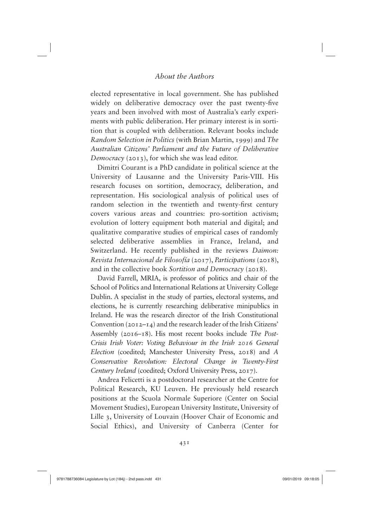# *About the Authors*

elected representative in local government. She has published widely on deliberative democracy over the past twenty-five years and been involved with most of Australia's early experiments with public deliberation. Her primary interest is in sortition that is coupled with deliberation. Relevant books include *Random Selection in Politics* (with Brian Martin, 1999) and *The Australian Citizens' Parliament and the Future of Deliberative Democracy* (2013), for which she was lead editor.

Dimitri Courant is a PhD candidate in political science at the University of Lausanne and the University Paris-VIII. His research focuses on sortition, democracy, deliberation, and representation. His sociological analysis of political uses of random selection in the twentieth and twenty-first century covers various areas and countries: pro-sortition activism; evolution of lottery equipment both material and digital; and qualitative comparative studies of empirical cases of randomly selected deliberative assemblies in France, Ireland, and Switzerland. He recently published in the reviews *Daimon: Revista Internacional de Filosofía* (2017), *Participations* (2018), and in the collective book *Sortition and Democracy* (2018).

David Farrell, MRIA, is professor of politics and chair of the School of Politics and International Relations at University College Dublin. A specialist in the study of parties, electoral systems, and elections, he is currently researching deliberative minipublics in Ireland. He was the research director of the Irish Constitutional Convention (2012–14) and the research leader of the Irish Citizens' Assembly (2016–18). His most recent books include *The Post-Crisis Irish Voter: Voting Behaviour in the Irish 2016 General Election* (coedited; Manchester University Press, 2018) and *A Conservative Revolution: Electoral Change in Twenty-First Century Ireland* (coedited; Oxford University Press, 2017).

Andrea Felicetti is a postdoctoral researcher at the Centre for Political Research, KU Leuven. He previously held research positions at the Scuola Normale Superiore (Center on Social Movement Studies), European University Institute, University of Lille 3, University of Louvain (Hoover Chair of Economic and Social Ethics), and University of Canberra (Center for

431